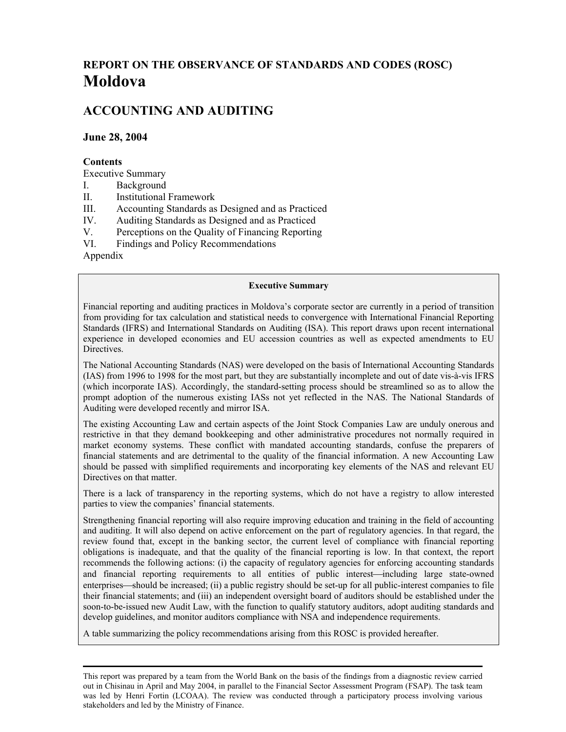# **REPORT ON THE OBSERVANCE OF STANDARDS AND CODES (ROSC) Moldova**

# **ACCOUNTING AND AUDITING**

#### **June 28, 2004**

#### **Contents**

Executive Summary

- I. Background
- II. Institutional Framework
- III. Accounting Standards as Designed and as Practiced
- IV. Auditing Standards as Designed and as Practiced
- V. Perceptions on the Quality of Financing Reporting
- VI. Findings and Policy Recommendations

Appendix

#### **Executive Summary**

Financial reporting and auditing practices in Moldova's corporate sector are currently in a period of transition from providing for tax calculation and statistical needs to convergence with International Financial Reporting Standards (IFRS) and International Standards on Auditing (ISA). This report draws upon recent international experience in developed economies and EU accession countries as well as expected amendments to EU Directives.

The National Accounting Standards (NAS) were developed on the basis of International Accounting Standards (IAS) from 1996 to 1998 for the most part, but they are substantially incomplete and out of date vis-à-vis IFRS (which incorporate IAS). Accordingly, the standard-setting process should be streamlined so as to allow the prompt adoption of the numerous existing IASs not yet reflected in the NAS. The National Standards of Auditing were developed recently and mirror ISA.

The existing Accounting Law and certain aspects of the Joint Stock Companies Law are unduly onerous and restrictive in that they demand bookkeeping and other administrative procedures not normally required in market economy systems. These conflict with mandated accounting standards, confuse the preparers of financial statements and are detrimental to the quality of the financial information. A new Accounting Law should be passed with simplified requirements and incorporating key elements of the NAS and relevant EU Directives on that matter.

There is a lack of transparency in the reporting systems, which do not have a registry to allow interested parties to view the companies' financial statements.

Strengthening financial reporting will also require improving education and training in the field of accounting and auditing. It will also depend on active enforcement on the part of regulatory agencies. In that regard, the review found that, except in the banking sector, the current level of compliance with financial reporting obligations is inadequate, and that the quality of the financial reporting is low. In that context, the report recommends the following actions: (i) the capacity of regulatory agencies for enforcing accounting standards and financial reporting requirements to all entities of public interest—including large state-owned enterprises—should be increased; (ii) a public registry should be set-up for all public-interest companies to file their financial statements; and (iii) an independent oversight board of auditors should be established under the soon-to-be-issued new Audit Law, with the function to qualify statutory auditors, adopt auditing standards and develop guidelines, and monitor auditors compliance with NSA and independence requirements.

A table summarizing the policy recommendations arising from this ROSC is provided hereafter.

This report was prepared by a team from the World Bank on the basis of the findings from a diagnostic review carried out in Chisinau in April and May 2004, in parallel to the Financial Sector Assessment Program (FSAP). The task team was led by Henri Fortin (LCOAA). The review was conducted through a participatory process involving various stakeholders and led by the Ministry of Finance.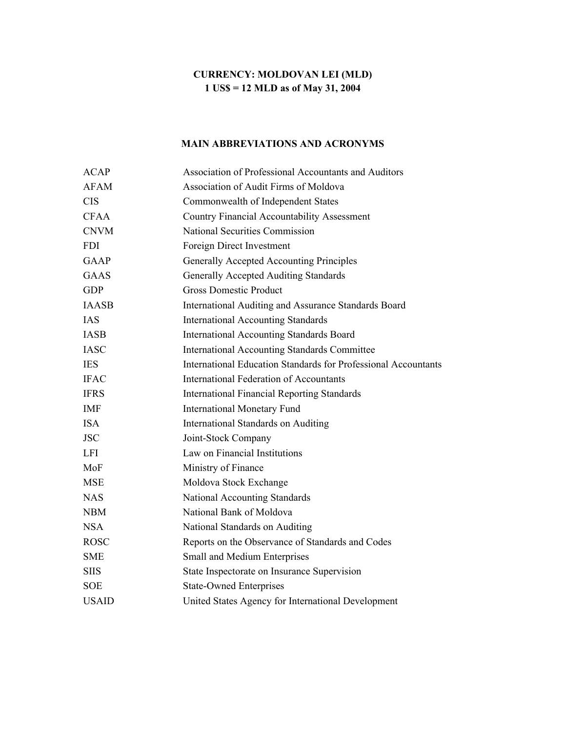# **CURRENCY: MOLDOVAN LEI (MLD) 1 US\$ = 12 MLD as of May 31, 2004**

# **MAIN ABBREVIATIONS AND ACRONYMS**

| <b>ACAP</b>  | Association of Professional Accountants and Auditors                  |
|--------------|-----------------------------------------------------------------------|
| <b>AFAM</b>  | <b>Association of Audit Firms of Moldova</b>                          |
| <b>CIS</b>   | Commonwealth of Independent States                                    |
| <b>CFAA</b>  | <b>Country Financial Accountability Assessment</b>                    |
| <b>CNVM</b>  | <b>National Securities Commission</b>                                 |
| <b>FDI</b>   | Foreign Direct Investment                                             |
| <b>GAAP</b>  | Generally Accepted Accounting Principles                              |
| <b>GAAS</b>  | <b>Generally Accepted Auditing Standards</b>                          |
| <b>GDP</b>   | <b>Gross Domestic Product</b>                                         |
| <b>IAASB</b> | International Auditing and Assurance Standards Board                  |
| <b>IAS</b>   | <b>International Accounting Standards</b>                             |
| <b>IASB</b>  | <b>International Accounting Standards Board</b>                       |
| <b>IASC</b>  | <b>International Accounting Standards Committee</b>                   |
| <b>IES</b>   | <b>International Education Standards for Professional Accountants</b> |
| <b>IFAC</b>  | <b>International Federation of Accountants</b>                        |
| <b>IFRS</b>  | <b>International Financial Reporting Standards</b>                    |
| IMF          | <b>International Monetary Fund</b>                                    |
| <b>ISA</b>   | International Standards on Auditing                                   |
| <b>JSC</b>   | Joint-Stock Company                                                   |
| <b>LFI</b>   | Law on Financial Institutions                                         |
| MoF          | Ministry of Finance                                                   |
| <b>MSE</b>   | Moldova Stock Exchange                                                |
| <b>NAS</b>   | National Accounting Standards                                         |
| <b>NBM</b>   | National Bank of Moldova                                              |
| <b>NSA</b>   | National Standards on Auditing                                        |
| <b>ROSC</b>  | Reports on the Observance of Standards and Codes                      |
| <b>SME</b>   | Small and Medium Enterprises                                          |
| <b>SIIS</b>  | State Inspectorate on Insurance Supervision                           |
| <b>SOE</b>   | <b>State-Owned Enterprises</b>                                        |
| <b>USAID</b> | United States Agency for International Development                    |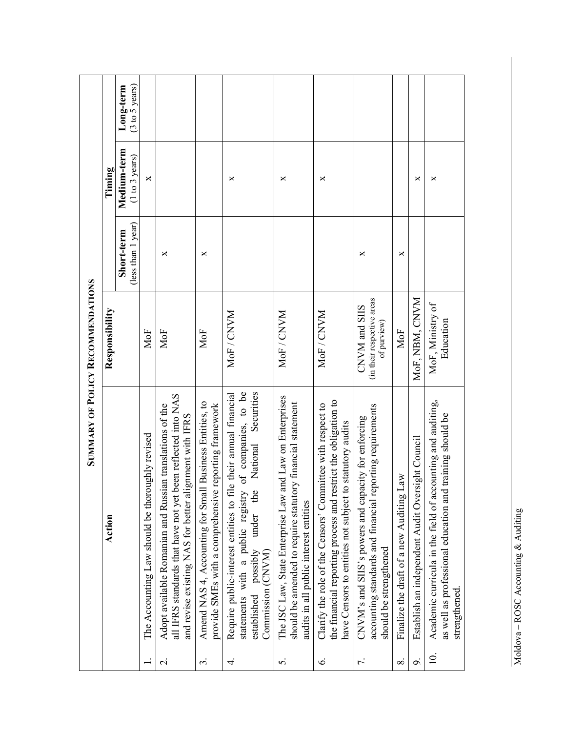|                                          | Timing         | Long-term<br>(3 to 5 years)      |                                                 |                                                                                                                                                                                                                       |                                                                                                                            |                                                                                                                                                                                                                            |                                                                                                                                                                                       |                                                                                                                                                                                                           |                                                                                                                                                  |                                                      |                                                              |                                                                                                                                                   |
|------------------------------------------|----------------|----------------------------------|-------------------------------------------------|-----------------------------------------------------------------------------------------------------------------------------------------------------------------------------------------------------------------------|----------------------------------------------------------------------------------------------------------------------------|----------------------------------------------------------------------------------------------------------------------------------------------------------------------------------------------------------------------------|---------------------------------------------------------------------------------------------------------------------------------------------------------------------------------------|-----------------------------------------------------------------------------------------------------------------------------------------------------------------------------------------------------------|--------------------------------------------------------------------------------------------------------------------------------------------------|------------------------------------------------------|--------------------------------------------------------------|---------------------------------------------------------------------------------------------------------------------------------------------------|
| <b>SUMMARY OF POLICY RECOMMENDATIONS</b> |                | Medium-term<br>(1 to 3 years)    | $\times$                                        |                                                                                                                                                                                                                       |                                                                                                                            | ×                                                                                                                                                                                                                          | ×                                                                                                                                                                                     | ×                                                                                                                                                                                                         |                                                                                                                                                  |                                                      | ×                                                            | ×                                                                                                                                                 |
|                                          |                | (less than 1 year)<br>Short-term |                                                 | ×                                                                                                                                                                                                                     | ×                                                                                                                          |                                                                                                                                                                                                                            |                                                                                                                                                                                       |                                                                                                                                                                                                           | ×                                                                                                                                                | ×                                                    |                                                              |                                                                                                                                                   |
|                                          | Responsibility |                                  | MoF                                             | MoF                                                                                                                                                                                                                   | MoF                                                                                                                        | MoF / CNVM                                                                                                                                                                                                                 | MoF / CNVM                                                                                                                                                                            | MoF / CNVM                                                                                                                                                                                                | (in their respective areas<br>CNVM and SIIS<br>of purview)                                                                                       | MoF                                                  | MoF, NBM, CNVM                                               | MoF, Ministry of<br>Education                                                                                                                     |
|                                          | Action         |                                  | The Accounting Law should be thoroughly revised | been reflected into NAS<br>Adopt available Romanian and Russian translations of the<br>ignment with IFRS<br>and revise existing NAS for better al<br>all IFRS standards that have not yet<br>$\overline{\mathcal{N}}$ | Amend NAS 4, Accounting for Small Business Entities, to<br>provide SMEs with a comprehensive reporting framework<br>$\sim$ | of companies, to be<br>le their annual financial<br>Securities<br>National<br>Require public-interest entities to fil<br>statements with a public registry<br>under the<br>established possibly<br>Commission (CNVM)<br>4. | and Law on Enterprises<br>should be amended to require statutory financial statement<br>The JSC Law, State Enterprise Law<br>audits in all public interest entities<br>$\overline{5}$ | the financial reporting process and restrict the obligation to<br>Clarify the role of the Censors' Committee with respect to<br>have Censors to entities not subject to statutory audits<br>$\dot{\circ}$ | accounting standards and financial reporting requirements<br>CNVM's and SIIS's powers and capacity for enforcing<br>should be strengthened<br>7. | Finalize the draft of a new Auditing Law<br>$\infty$ | Establish an independent Audit Oversight Council<br>$\sigma$ | Academic curricula in the field of accounting and auditing,<br>as well as professional education and training should be<br>strengthened.<br>$\Xi$ |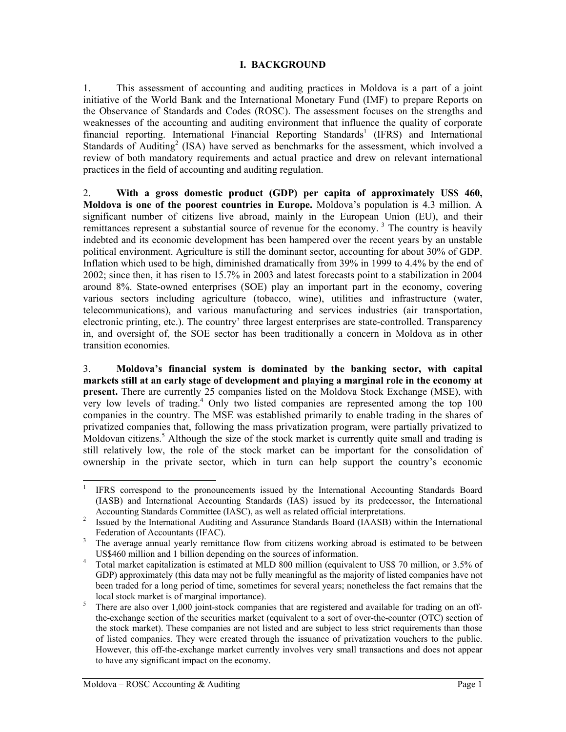#### **I. BACKGROUND**

1. This assessment of accounting and auditing practices in Moldova is a part of a joint initiative of the World Bank and the International Monetary Fund (IMF) to prepare Reports on the Observance of Standards and Codes (ROSC). The assessment focuses on the strengths and weaknesses of the accounting and auditing environment that influence the quality of corporate financial reporting. International Financial Reporting Standards<sup>[1](#page-3-0)</sup> (IFRS) and International Standards of Auditing<sup>[2](#page-3-1)</sup> (ISA) have served as benchmarks for the assessment, which involved a review of both mandatory requirements and actual practice and drew on relevant international practices in the field of accounting and auditing regulation.

2. **With a gross domestic product (GDP) per capita of approximately US\$ 460, Moldova is one of the poorest countries in Europe.** Moldova's population is 4.3 million. A significant number of citizens live abroad, mainly in the European Union (EU), and their remittances represent a substantial source of revenue for the economy.<sup>3</sup> The country is heavily indebted and its economic development has been hampered over the recent years by an unstable political environment. Agriculture is still the dominant sector, accounting for about 30% of GDP. Inflation which used to be high, diminished dramatically from 39% in 1999 to 4.4% by the end of 2002; since then, it has risen to 15.7% in 2003 and latest forecasts point to a stabilization in 2004 around 8%. State-owned enterprises (SOE) play an important part in the economy, covering various sectors including agriculture (tobacco, wine), utilities and infrastructure (water, telecommunications), and various manufacturing and services industries (air transportation, electronic printing, etc.). The country' three largest enterprises are state-controlled. Transparency in, and oversight of, the SOE sector has been traditionally a concern in Moldova as in other transition economies.

3. **Moldova's financial system is dominated by the banking sector, with capital markets still at an early stage of development and playing a marginal role in the economy at present.** There are currently 25 companies listed on the Moldova Stock Exchange (MSE), with very low levels of trading.<sup>[4](#page-3-3)</sup> Only two listed companies are represented among the top 100 companies in the country. The MSE was established primarily to enable trading in the shares of privatized companies that, following the mass privatization program, were partially privatized to Moldovan citizens.<sup>[5](#page-3-4)</sup> Although the size of the stock market is currently quite small and trading is still relatively low, the role of the stock market can be important for the consolidation of ownership in the private sector, which in turn can help support the country's economic

<span id="page-3-0"></span><sup>&</sup>lt;sup>1</sup> IFRS correspond to the pronouncements issued by the International Accounting Standards Board (IASB) and International Accounting Standards (IAS) issued by its predecessor, the International Accounting Standards Committee (IASC), as well as related official interpretations.<br><sup>2</sup> Issued by the International Auditing and Assurance Standards Board (IAASB) within the International

<span id="page-3-1"></span>Federation of Accountants (IFAC).<br><sup>3</sup> The average annual yearly remittance flow from citizens working abroad is estimated to be between

<span id="page-3-2"></span>

<span id="page-3-3"></span>US\$460 million and 1 billion depending on the sources of information.<br>Total market capitalization is estimated at MLD 800 million (equivalent to US\$ 70 million, or 3.5% of GDP) approximately (this data may not be fully meaningful as the majority of listed companies have not been traded for a long period of time, sometimes for several years; nonetheless the fact remains that the

<span id="page-3-4"></span>local stock market is of marginal importance).<br><sup>5</sup> There are also over 1,000 joint-stock companies that are registered and available for trading on an offthe-exchange section of the securities market (equivalent to a sort of over-the-counter (OTC) section of the stock market). These companies are not listed and are subject to less strict requirements than those of listed companies. They were created through the issuance of privatization vouchers to the public. However, this off-the-exchange market currently involves very small transactions and does not appear to have any significant impact on the economy.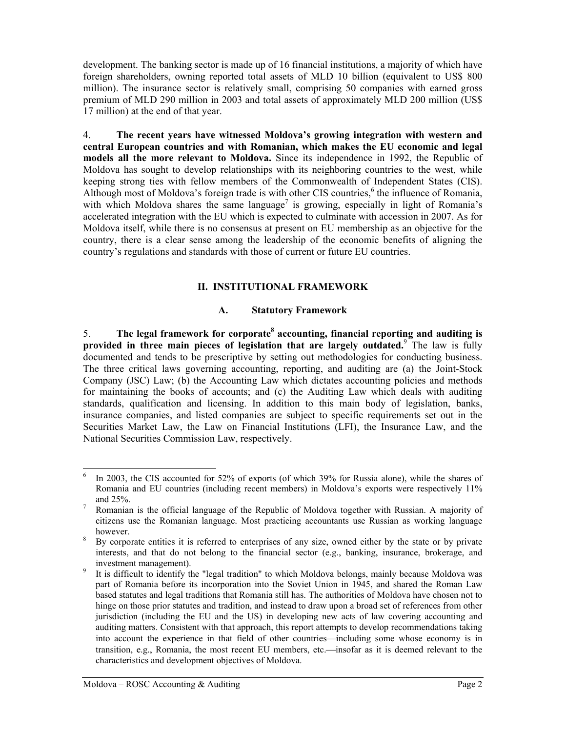development. The banking sector is made up of 16 financial institutions, a majority of which have foreign shareholders, owning reported total assets of MLD 10 billion (equivalent to US\$ 800 million). The insurance sector is relatively small, comprising 50 companies with earned gross premium of MLD 290 million in 2003 and total assets of approximately MLD 200 million (US\$ 17 million) at the end of that year.

4. **The recent years have witnessed Moldova's growing integration with western and central European countries and with Romanian, which makes the EU economic and legal models all the more relevant to Moldova.** Since its independence in 1992, the Republic of Moldova has sought to develop relationships with its neighboring countries to the west, while keeping strong ties with fellow members of the Commonwealth of Independent States (CIS). Although most of Moldova's foreign trade is with other CIS countries,<sup>6</sup> the influence of Romania, with which Moldova shares the same language<sup>7</sup> is growing, especially in light of Romania's accelerated integration with the EU which is expected to culminate with accession in 2007. As for Moldova itself, while there is no consensus at present on EU membership as an objective for the country, there is a clear sense among the leadership of the economic benefits of aligning the country's regulations and standards with those of current or future EU countries.

# **II. INSTITUTIONAL FRAMEWORK**

### **A. Statutory Framework**

5. **The legal framework for corporate[8](#page-4-2) accounting, financial reporting and auditing is provided in three main pieces of legislation that are largely outdated.**[9](#page-4-3) The law is fully documented and tends to be prescriptive by setting out methodologies for conducting business. The three critical laws governing accounting, reporting, and auditing are (a) the Joint-Stock Company (JSC) Law; (b) the Accounting Law which dictates accounting policies and methods for maintaining the books of accounts; and (c) the Auditing Law which deals with auditing standards, qualification and licensing. In addition to this main body of legislation, banks, insurance companies, and listed companies are subject to specific requirements set out in the Securities Market Law, the Law on Financial Institutions (LFI), the Insurance Law, and the National Securities Commission Law, respectively.

<span id="page-4-0"></span> $6\,\text{In } 2003$ , the CIS accounted for 52% of exports (of which 39% for Russia alone), while the shares of Romania and EU countries (including recent members) in Moldova's exports were respectively 11% and 25%.<br>Romanian is the official language of the Republic of Moldova together with Russian. A majority of

<span id="page-4-1"></span>citizens use the Romanian language. Most practicing accountants use Russian as working language however.<br>By corporate entities it is referred to enterprises of any size, owned either by the state or by private

<span id="page-4-2"></span>interests, and that do not belong to the financial sector (e.g., banking, insurance, brokerage, and investment management).<br>It is difficult to identify the "legal tradition" to which Moldova belongs, mainly because Moldova was

<span id="page-4-3"></span>part of Romania before its incorporation into the Soviet Union in 1945, and shared the Roman Law based statutes and legal traditions that Romania still has. The authorities of Moldova have chosen not to hinge on those prior statutes and tradition, and instead to draw upon a broad set of references from other jurisdiction (including the EU and the US) in developing new acts of law covering accounting and auditing matters. Consistent with that approach, this report attempts to develop recommendations taking into account the experience in that field of other countries—including some whose economy is in transition, e.g., Romania, the most recent EU members, etc.—insofar as it is deemed relevant to the characteristics and development objectives of Moldova.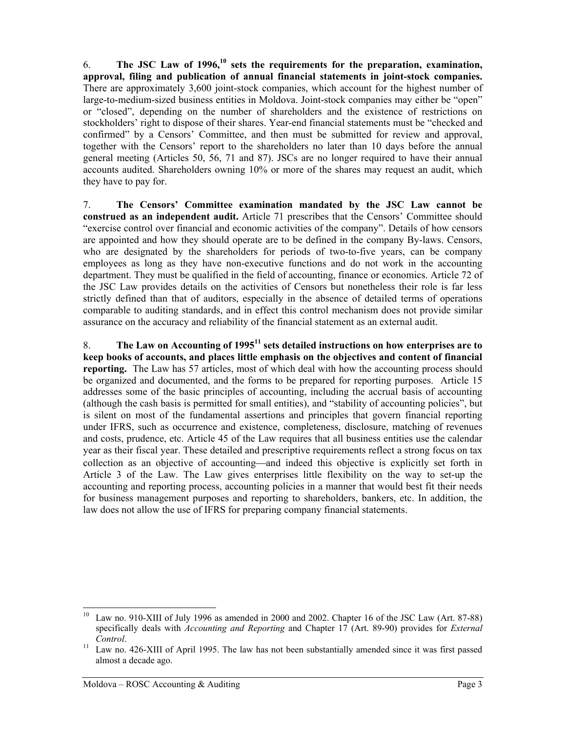6. **The JSC Law of 1996,[10](#page-5-0) sets the requirements for the preparation, examination, approval, filing and publication of annual financial statements in joint-stock companies.** There are approximately 3,600 joint-stock companies, which account for the highest number of large-to-medium-sized business entities in Moldova. Joint-stock companies may either be "open" or "closed", depending on the number of shareholders and the existence of restrictions on stockholders' right to dispose of their shares. Year-end financial statements must be "checked and confirmed" by a Censors' Committee, and then must be submitted for review and approval, together with the Censors' report to the shareholders no later than 10 days before the annual general meeting (Articles 50, 56, 71 and 87). JSCs are no longer required to have their annual accounts audited. Shareholders owning 10% or more of the shares may request an audit, which they have to pay for.

7. **The Censors' Committee examination mandated by the JSC Law cannot be construed as an independent audit.** Article 71 prescribes that the Censors' Committee should "exercise control over financial and economic activities of the company". Details of how censors are appointed and how they should operate are to be defined in the company By-laws. Censors, who are designated by the shareholders for periods of two-to-five years, can be company employees as long as they have non-executive functions and do not work in the accounting department. They must be qualified in the field of accounting, finance or economics. Article 72 of the JSC Law provides details on the activities of Censors but nonetheless their role is far less strictly defined than that of auditors, especially in the absence of detailed terms of operations comparable to auditing standards, and in effect this control mechanism does not provide similar assurance on the accuracy and reliability of the financial statement as an external audit.

8. **The Law on Accounting of 199[511](#page-5-1) sets detailed instructions on how enterprises are to keep books of accounts, and places little emphasis on the objectives and content of financial reporting.** The Law has 57 articles, most of which deal with how the accounting process should be organized and documented, and the forms to be prepared for reporting purposes. Article 15 addresses some of the basic principles of accounting, including the accrual basis of accounting (although the cash basis is permitted for small entities), and "stability of accounting policies", but is silent on most of the fundamental assertions and principles that govern financial reporting under IFRS, such as occurrence and existence, completeness, disclosure, matching of revenues and costs, prudence, etc. Article 45 of the Law requires that all business entities use the calendar year as their fiscal year. These detailed and prescriptive requirements reflect a strong focus on tax collection as an objective of accounting—and indeed this objective is explicitly set forth in Article 3 of the Law. The Law gives enterprises little flexibility on the way to set-up the accounting and reporting process, accounting policies in a manner that would best fit their needs for business management purposes and reporting to shareholders, bankers, etc. In addition, the law does not allow the use of IFRS for preparing company financial statements.

<span id="page-5-0"></span>Law no. 910-XIII of July 1996 as amended in 2000 and 2002. Chapter 16 of the JSC Law (Art. 87-88) specifically deals with *Accounting and Reporting* and Chapter 17 (Art. 89-90) provides for *External*

<span id="page-5-1"></span>*Control*. 11 Law no. 426-XIII of April 1995. The law has not been substantially amended since it was first passed almost a decade ago.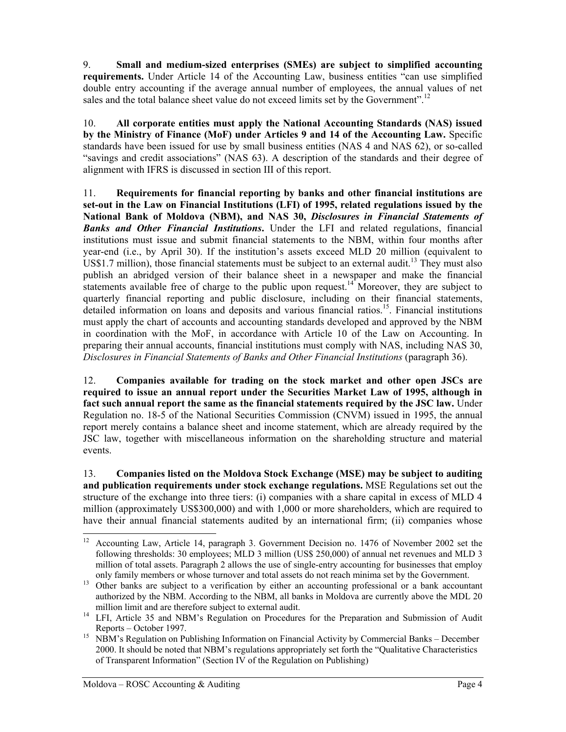9. **Small and medium-sized enterprises (SMEs) are subject to simplified accounting requirements.** Under Article 14 of the Accounting Law, business entities "can use simplified double entry accounting if the average annual number of employees, the annual values of net sales and the total balance sheet value do not exceed limits set by the Government".<sup>12</sup>

10. **All corporate entities must apply the National Accounting Standards (NAS) issued by the Ministry of Finance (MoF) under Articles 9 and 14 of the Accounting Law.** Specific standards have been issued for use by small business entities (NAS 4 and NAS 62), or so-called "savings and credit associations" (NAS 63). A description of the standards and their degree of alignment with IFRS is discussed in section III of this report.

11. **Requirements for financial reporting by banks and other financial institutions are set-out in the Law on Financial Institutions (LFI) of 1995, related regulations issued by the National Bank of Moldova (NBM), and NAS 30,** *Disclosures in Financial Statements of Banks and Other Financial Institutions***.** Under the LFI and related regulations, financial institutions must issue and submit financial statements to the NBM, within four months after year-end (i.e., by April 30). If the institution's assets exceed MLD 20 million (equivalent to US\$1.7 million), those financial statements must be subject to an external audit.<sup>13</sup> They must also publish an abridged version of their balance sheet in a newspaper and make the financial statements available free of charge to the public upon request.<sup>14</sup> Moreover, they are subject to quarterly financial reporting and public disclosure, including on their financial statements, detailed information on loans and deposits and various financial ratios.<sup>15</sup>. Financial institutions must apply the chart of accounts and accounting standards developed and approved by the NBM in coordination with the MoF, in accordance with Article 10 of the Law on Accounting. In preparing their annual accounts, financial institutions must comply with NAS, including NAS 30, *Disclosures in Financial Statements of Banks and Other Financial Institutions* (paragraph 36).

12. **Companies available for trading on the stock market and other open JSCs are required to issue an annual report under the Securities Market Law of 1995, although in fact such annual report the same as the financial statements required by the JSC law.** Under Regulation no. 18-5 of the National Securities Commission (CNVM) issued in 1995, the annual report merely contains a balance sheet and income statement, which are already required by the JSC law, together with miscellaneous information on the shareholding structure and material events.

13. **Companies listed on the Moldova Stock Exchange (MSE) may be subject to auditing and publication requirements under stock exchange regulations.** MSE Regulations set out the structure of the exchange into three tiers: (i) companies with a share capital in excess of MLD 4 million (approximately US\$300,000) and with 1,000 or more shareholders, which are required to have their annual financial statements audited by an international firm; (ii) companies whose

<span id="page-6-0"></span><sup>&</sup>lt;sup>12</sup> Accounting Law, Article 14, paragraph 3. Government Decision no. 1476 of November 2002 set the following thresholds: 30 employees; MLD 3 million (US\$ 250,000) of annual net revenues and MLD 3 million of total assets. Paragraph 2 allows the use of single-entry accounting for businesses that employ only family members or whose turnover and total assets do not reach minima set by the Government. 13 Other banks are subject to a verification by either an accounting professional or a bank accountant

<span id="page-6-1"></span>authorized by the NBM. According to the NBM, all banks in Moldova are currently above the MDL 20

<span id="page-6-2"></span>million limit and are therefore subject to external audit.<br><sup>14</sup> LFI, Article 35 and NBM's Regulation on Procedures for the Preparation and Submission of Audit Reports – October 1997.<br><sup>15</sup> NBM's Regulation on Publishing Information on Financial Activity by Commercial Banks – December

<span id="page-6-3"></span><sup>2000.</sup> It should be noted that NBM's regulations appropriately set forth the "Qualitative Characteristics of Transparent Information" (Section IV of the Regulation on Publishing)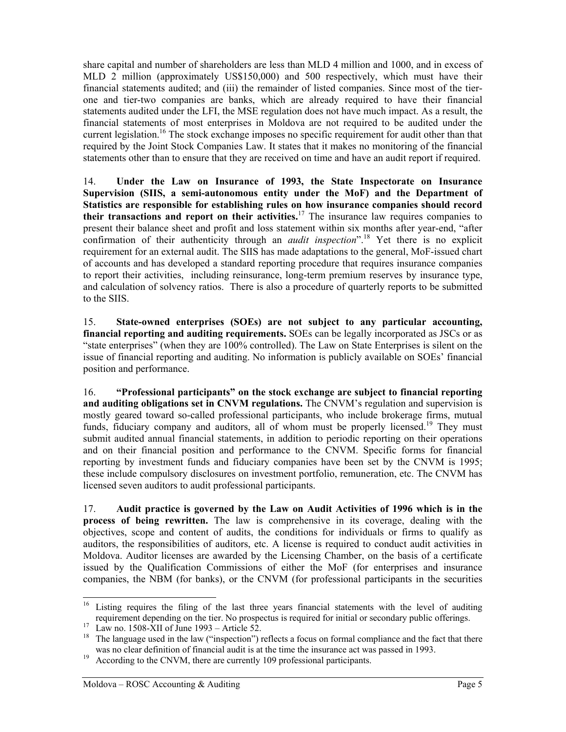share capital and number of shareholders are less than MLD 4 million and 1000, and in excess of MLD 2 million (approximately US\$150,000) and 500 respectively, which must have their financial statements audited; and (iii) the remainder of listed companies. Since most of the tierone and tier-two companies are banks, which are already required to have their financial statements audited under the LFI, the MSE regulation does not have much impact. As a result, the financial statements of most enterprises in Moldova are not required to be audited under the current legislation.<sup>16</sup> The stock exchange imposes no specific requirement for audit other than that required by the Joint Stock Companies Law. It states that it makes no monitoring of the financial statements other than to ensure that they are received on time and have an audit report if required.

14. **Under the Law on Insurance of 1993, the State Inspectorate on Insurance Supervision (SIIS, a semi-autonomous entity under the MoF) and the Department of Statistics are responsible for establishing rules on how insurance companies should record their transactions and report on their activities.**[17](#page-7-1) The insurance law requires companies to present their balance sheet and profit and loss statement within six months after year-end, "after confirmation of their authenticity through an *audit inspection*".<sup>18</sup> Yet there is no explicit requirement for an external audit. The SIIS has made adaptations to the general, MoF-issued chart of accounts and has developed a standard reporting procedure that requires insurance companies to report their activities, including reinsurance, long-term premium reserves by insurance type, and calculation of solvency ratios. There is also a procedure of quarterly reports to be submitted to the SIIS.

15. **State-owned enterprises (SOEs) are not subject to any particular accounting, financial reporting and auditing requirements.** SOEs can be legally incorporated as JSCs or as "state enterprises" (when they are 100% controlled). The Law on State Enterprises is silent on the issue of financial reporting and auditing. No information is publicly available on SOEs' financial position and performance.

16. **"Professional participants" on the stock exchange are subject to financial reporting and auditing obligations set in CNVM regulations.** The CNVM's regulation and supervision is mostly geared toward so-called professional participants, who include brokerage firms, mutual funds, fiduciary company and auditors, all of whom must be properly licensed.<sup>19</sup> They must submit audited annual financial statements, in addition to periodic reporting on their operations and on their financial position and performance to the CNVM. Specific forms for financial reporting by investment funds and fiduciary companies have been set by the CNVM is 1995; these include compulsory disclosures on investment portfolio, remuneration, etc. The CNVM has licensed seven auditors to audit professional participants.

17. **Audit practice is governed by the Law on Audit Activities of 1996 which is in the process of being rewritten.** The law is comprehensive in its coverage, dealing with the objectives, scope and content of audits, the conditions for individuals or firms to qualify as auditors, the responsibilities of auditors, etc. A license is required to conduct audit activities in Moldova. Auditor licenses are awarded by the Licensing Chamber, on the basis of a certificate issued by the Qualification Commissions of either the MoF (for enterprises and insurance companies, the NBM (for banks), or the CNVM (for professional participants in the securities

<span id="page-7-0"></span><sup>&</sup>lt;sup>16</sup> Listing requires the filing of the last three years financial statements with the level of auditing

<span id="page-7-2"></span><span id="page-7-1"></span>

requirement depending on the tier. No prospectus is required for initial or secondary public offerings.<br><sup>17</sup> Law no. 1508-XII of June 1993 – Article 52.<br><sup>18</sup> The language used in the law ("inspection") reflects a focus on was no clear definition of financial audit is at the time the insurance act was passed in 1993.<br><sup>19</sup> According to the CNVM, there are currently 109 professional participants.

<span id="page-7-3"></span>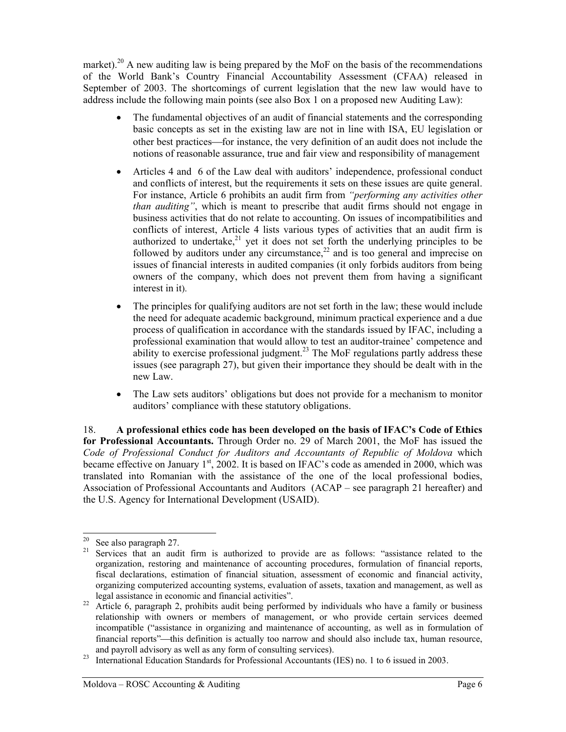market).<sup>20</sup> A new auditing law is being prepared by the MoF on the basis of the recommendations of the World Bank's Country Financial Accountability Assessment (CFAA) released in September of 2003. The shortcomings of current legislation that the new law would have to address include the following main points (see also Box 1 on a proposed new Auditing Law):

- The fundamental objectives of an audit of financial statements and the corresponding basic concepts as set in the existing law are not in line with ISA, EU legislation or other best practices—for instance, the very definition of an audit does not include the notions of reasonable assurance, true and fair view and responsibility of management
- Articles 4 and 6 of the Law deal with auditors' independence, professional conduct and conflicts of interest, but the requirements it sets on these issues are quite general. For instance, Article 6 prohibits an audit firm from *"performing any activities other than auditing"*, which is meant to prescribe that audit firms should not engage in business activities that do not relate to accounting. On issues of incompatibilities and conflicts of interest, Article 4 lists various types of activities that an audit firm is authorized to undertake, $2^{1}$  yet it does not set forth the underlying principles to be followed by auditors under any circumstance, $^{22}$  and is too general and imprecise on issues of financial interests in audited companies (it only forbids auditors from being owners of the company, which does not prevent them from having a significant interest in it).
- The principles for qualifying auditors are not set forth in the law; these would include the need for adequate academic background, minimum practical experience and a due process of qualification in accordance with the standards issued by IFAC, including a professional examination that would allow to test an auditor-trainee' competence and ability to exercise professional judgment.<sup>23</sup> The MoF regulations partly address these issues (see paragraph 27), but given their importance they should be dealt with in the new Law.
- The Law sets auditors' obligations but does not provide for a mechanism to monitor auditors' compliance with these statutory obligations.

18. **A professional ethics code has been developed on the basis of IFAC's Code of Ethics for Professional Accountants.** Through Order no. 29 of March 2001, the MoF has issued the *Code of Professional Conduct for Auditors and Accountants of Republic of Moldova* which became effective on January 1<sup>st</sup>, 2002. It is based on IFAC's code as amended in 2000, which was translated into Romanian with the assistance of the one of the local professional bodies, Association of Professional Accountants and Auditors (ACAP – see paragraph 21 hereafter) and the U.S. Agency for International Development (USAID).

<span id="page-8-1"></span>

<span id="page-8-0"></span><sup>&</sup>lt;sup>20</sup> See also paragraph 27.<br><sup>21</sup> Services that an audit firm is authorized to provide are as follows: "assistance related to the organization, restoring and maintenance of accounting procedures, formulation of financial reports, fiscal declarations, estimation of financial situation, assessment of economic and financial activity, organizing computerized accounting systems, evaluation of assets, taxation and management, as well as

<span id="page-8-2"></span>legal assistance in economic and financial activities". 22 Article 6, paragraph 2, prohibits audit being performed by individuals who have a family or business relationship with owners or members of management, or who provide certain services deemed incompatible ("assistance in organizing and maintenance of accounting, as well as in formulation of financial reports"—this definition is actually too narrow and should also include tax, human resource,

<span id="page-8-3"></span>and payroll advisory as well as any form of consulting services).<br><sup>23</sup> International Education Standards for Professional Accountants (IES) no. 1 to 6 issued in 2003.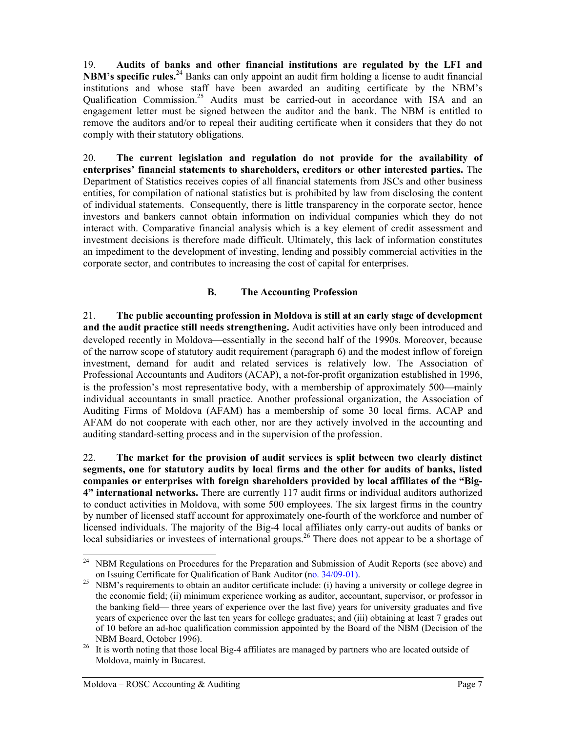19. **Audits of banks and other financial institutions are regulated by the LFI and NBM's specific rules.**[24](#page-9-0) Banks can only appoint an audit firm holding a license to audit financial institutions and whose staff have been awarded an auditing certificate by the NBM's Qualification Commission.<sup>25</sup> Audits must be carried-out in accordance with ISA and an engagement letter must be signed between the auditor and the bank. The NBM is entitled to remove the auditors and/or to repeal their auditing certificate when it considers that they do not comply with their statutory obligations.

20. **The current legislation and regulation do not provide for the availability of enterprises' financial statements to shareholders, creditors or other interested parties.** The Department of Statistics receives copies of all financial statements from JSCs and other business entities, for compilation of national statistics but is prohibited by law from disclosing the content of individual statements. Consequently, there is little transparency in the corporate sector, hence investors and bankers cannot obtain information on individual companies which they do not interact with. Comparative financial analysis which is a key element of credit assessment and investment decisions is therefore made difficult. Ultimately, this lack of information constitutes an impediment to the development of investing, lending and possibly commercial activities in the corporate sector, and contributes to increasing the cost of capital for enterprises.

# **B. The Accounting Profession**

21. **The public accounting profession in Moldova is still at an early stage of development and the audit practice still needs strengthening.** Audit activities have only been introduced and developed recently in Moldova—essentially in the second half of the 1990s. Moreover, because of the narrow scope of statutory audit requirement (paragraph 6) and the modest inflow of foreign investment, demand for audit and related services is relatively low. The Association of Professional Accountants and Auditors (ACAP), a not-for-profit organization established in 1996, is the profession's most representative body, with a membership of approximately 500—mainly individual accountants in small practice. Another professional organization, the Association of Auditing Firms of Moldova (AFAM) has a membership of some 30 local firms. ACAP and AFAM do not cooperate with each other, nor are they actively involved in the accounting and auditing standard-setting process and in the supervision of the profession.

22. **The market for the provision of audit services is split between two clearly distinct segments, one for statutory audits by local firms and the other for audits of banks, listed companies or enterprises with foreign shareholders provided by local affiliates of the "Big-4" international networks.** There are currently 117 audit firms or individual auditors authorized to conduct activities in Moldova, with some 500 employees. The six largest firms in the country by number of licensed staff account for approximately one-fourth of the workforce and number of licensed individuals. The majority of the Big-4 local affiliates only carry-out audits of banks or local subsidiaries or investees of international groups.<sup>26</sup> There does not appear to be a shortage of

<span id="page-9-0"></span><sup>&</sup>lt;sup>24</sup> NBM Regulations on Procedures for the Preparation and Submission of Audit Reports (see above) and on Issuing Certificate for Qualification of Bank Auditor (no.  $34/09-01$ ).

<span id="page-9-1"></span> $^{25}$  NBM's requirements to obtain an auditor certificate include: (i) having a university or college degree in the economic field; (ii) minimum experience working as auditor, accountant, supervisor, or professor in the banking field— three years of experience over the last five) years for university graduates and five years of experience over the last ten years for college graduates; and (iii) obtaining at least 7 grades out of 10 before an ad-hoc qualification commission appointed by the Board of the NBM (Decision of the NBM Board, October 1996).<br><sup>26</sup> It is worth noting that those local Big-4 affiliates are managed by partners who are located outside of

<span id="page-9-2"></span>Moldova, mainly in Bucarest.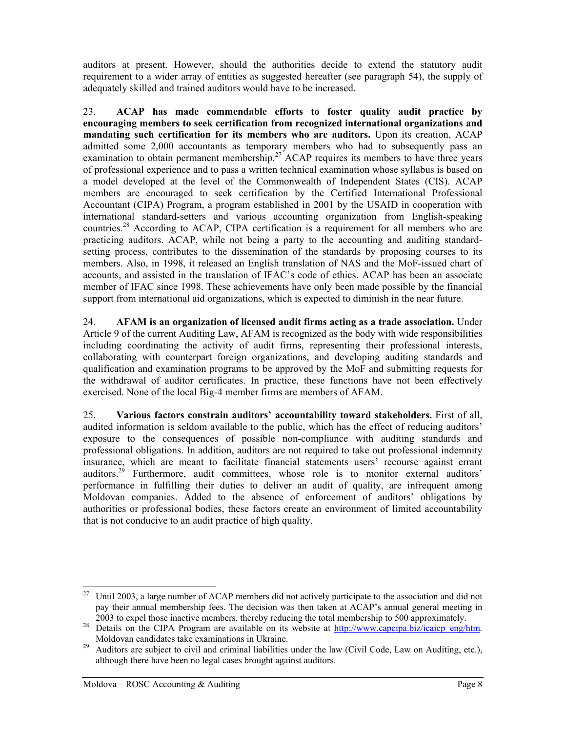auditors at present. However, should the authorities decide to extend the statutory audit requirement to a wider array of entities as suggested hereafter (see paragraph 54), the supply of adequately skilled and trained auditors would have to be increased.

23. **ACAP has made commendable efforts to foster quality audit practice by encouraging members to seek certification from recognized international organizations and mandating such certification for its members who are auditors.** Upon its creation, ACAP admitted some 2,000 accountants as temporary members who had to subsequently pass an examination to obtain permanent membership.<sup>27</sup> ACAP requires its members to have three years of professional experience and to pass a written technical examination whose syllabus is based on a model developed at the level of the Commonwealth of Independent States (CIS). ACAP members are encouraged to seek certification by the Certified International Professional Accountant (CIPA) Program, a program established in 2001 by the USAID in cooperation with international standard-setters and various accounting organization from English-speaking countries.<sup>28</sup> According to ACAP, CIPA certification is a requirement for all members who are practicing auditors. ACAP, while not being a party to the accounting and auditing standardsetting process, contributes to the dissemination of the standards by proposing courses to its members. Also, in 1998, it released an English translation of NAS and the MoF-issued chart of accounts, and assisted in the translation of IFAC's code of ethics. ACAP has been an associate member of IFAC since 1998. These achievements have only been made possible by the financial support from international aid organizations, which is expected to diminish in the near future.

24. **AFAM is an organization of licensed audit firms acting as a trade association.** Under Article 9 of the current Auditing Law, AFAM is recognized as the body with wide responsibilities including coordinating the activity of audit firms, representing their professional interests, collaborating with counterpart foreign organizations, and developing auditing standards and qualification and examination programs to be approved by the MoF and submitting requests for the withdrawal of auditor certificates. In practice, these functions have not been effectively exercised. None of the local Big-4 member firms are members of AFAM.

25. **Various factors constrain auditors' accountability toward stakeholders.** First of all, audited information is seldom available to the public, which has the effect of reducing auditors' exposure to the consequences of possible non-compliance with auditing standards and professional obligations. In addition, auditors are not required to take out professional indemnity insurance, which are meant to facilitate financial statements users' recourse against errant auditors.<sup>29</sup> Furthermore, audit committees, whose role is to monitor external auditors' performance in fulfilling their duties to deliver an audit of quality, are infrequent among Moldovan companies. Added to the absence of enforcement of auditors' obligations by authorities or professional bodies, these factors create an environment of limited accountability that is not conducive to an audit practice of high quality.

<span id="page-10-0"></span><sup>&</sup>lt;sup>27</sup> Until 2003, a large number of ACAP members did not actively participate to the association and did not pay their annual membership fees. The decision was then taken at ACAP's annual general meeting in

<span id="page-10-1"></span><sup>2003</sup> to expel those inactive members, thereby reducing the total membership to 500 approximately.<br><sup>28</sup> Details on the CIPA Program are available on its website at  $\frac{http://www.capcipa.biz/icaicp_eng/htm}{http://www.capcipa.biz/icaicp_eng/htm}$ .

<span id="page-10-2"></span>Moldovan candidates take examinations in Ukraine.<br><sup>29</sup> Auditors are subject to civil and criminal liabilities under the law (Civil Code, Law on Auditing, etc.), although there have been no legal cases brought against auditors.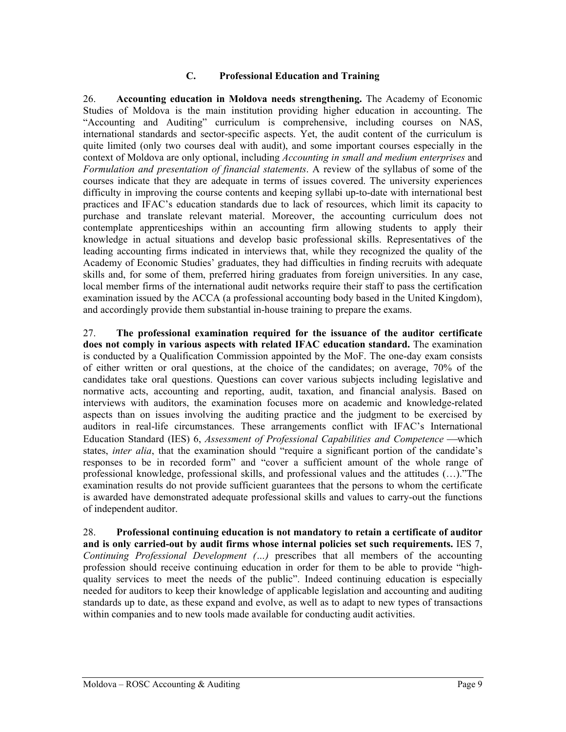#### **C. Professional Education and Training**

26. **Accounting education in Moldova needs strengthening.** The Academy of Economic Studies of Moldova is the main institution providing higher education in accounting. The "Accounting and Auditing" curriculum is comprehensive, including courses on NAS, international standards and sector-specific aspects. Yet, the audit content of the curriculum is quite limited (only two courses deal with audit), and some important courses especially in the context of Moldova are only optional, including *Accounting in small and medium enterprises* and *Formulation and presentation of financial statements*. A review of the syllabus of some of the courses indicate that they are adequate in terms of issues covered. The university experiences difficulty in improving the course contents and keeping syllabi up-to-date with international best practices and IFAC's education standards due to lack of resources, which limit its capacity to purchase and translate relevant material. Moreover, the accounting curriculum does not contemplate apprenticeships within an accounting firm allowing students to apply their knowledge in actual situations and develop basic professional skills. Representatives of the leading accounting firms indicated in interviews that, while they recognized the quality of the Academy of Economic Studies' graduates, they had difficulties in finding recruits with adequate skills and, for some of them, preferred hiring graduates from foreign universities. In any case, local member firms of the international audit networks require their staff to pass the certification examination issued by the ACCA (a professional accounting body based in the United Kingdom), and accordingly provide them substantial in-house training to prepare the exams.

27. **The professional examination required for the issuance of the auditor certificate does not comply in various aspects with related IFAC education standard.** The examination is conducted by a Qualification Commission appointed by the MoF. The one-day exam consists of either written or oral questions, at the choice of the candidates; on average, 70% of the candidates take oral questions. Questions can cover various subjects including legislative and normative acts, accounting and reporting, audit, taxation, and financial analysis. Based on interviews with auditors, the examination focuses more on academic and knowledge-related aspects than on issues involving the auditing practice and the judgment to be exercised by auditors in real-life circumstances. These arrangements conflict with IFAC's International Education Standard (IES) 6, *Assessment of Professional Capabilities and Competence* — which states, *inter alia*, that the examination should "require a significant portion of the candidate's responses to be in recorded form" and "cover a sufficient amount of the whole range of professional knowledge, professional skills, and professional values and the attitudes (…)."The examination results do not provide sufficient guarantees that the persons to whom the certificate is awarded have demonstrated adequate professional skills and values to carry-out the functions of independent auditor.

28. **Professional continuing education is not mandatory to retain a certificate of auditor and is only carried-out by audit firms whose internal policies set such requirements.** IES 7, *Continuing Professional Development (…)* prescribes that all members of the accounting profession should receive continuing education in order for them to be able to provide "highquality services to meet the needs of the public". Indeed continuing education is especially needed for auditors to keep their knowledge of applicable legislation and accounting and auditing standards up to date, as these expand and evolve, as well as to adapt to new types of transactions within companies and to new tools made available for conducting audit activities.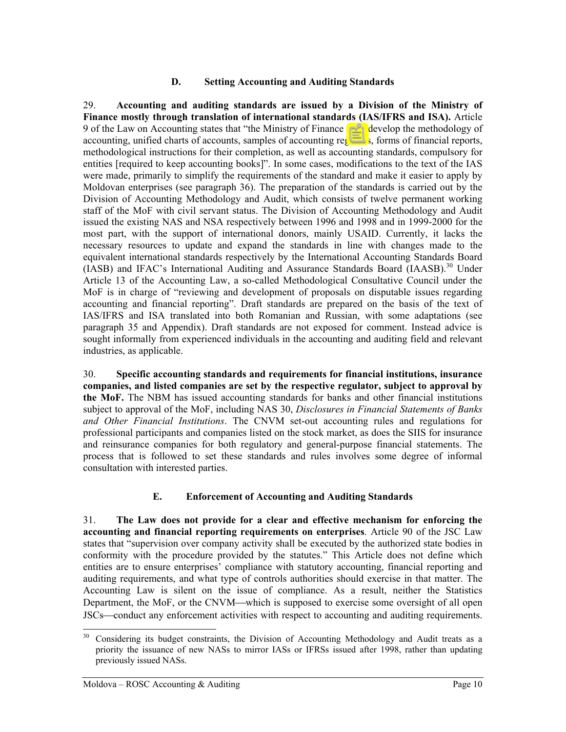#### **D. Setting Accounting and Auditing Standards**

29. **Accounting and auditing standards are issued by a Division of the Ministry of Finance mostly through translation of international standards (IAS/IFRS and ISA).** Article 9 of the Law on Accounting states that "the Ministry of Finance shall develop the methodology of accounting, unified charts of accounts, samples of accounting registers, forms of financial reports, methodological instructions for their completion, as well as accounting standards, compulsory for entities [required to keep accounting books]". In some cases, modifications to the text of the IAS were made, primarily to simplify the requirements of the standard and make it easier to apply by Moldovan enterprises (see paragraph 36). The preparation of the standards is carried out by the Division of Accounting Methodology and Audit, which consists of twelve permanent working staff of the MoF with civil servant status. The Division of Accounting Methodology and Audit issued the existing NAS and NSA respectively between 1996 and 1998 and in 1999-2000 for the most part, with the support of international donors, mainly USAID. Currently, it lacks the necessary resources to update and expand the standards in line with changes made to the equivalent international standards respectively by the International Accounting Standards Board (IASB) and IFAC's International Auditing and Assurance Standards Board (IAASB).<sup>30</sup> Under Article 13 of the Accounting Law, a so-called Methodological Consultative Council under the MoF is in charge of "reviewing and development of proposals on disputable issues regarding accounting and financial reporting". Draft standards are prepared on the basis of the text of IAS/IFRS and ISA translated into both Romanian and Russian, with some adaptations (see paragraph 35 and Appendix). Draft standards are not exposed for comment. Instead advice is sought informally from experienced individuals in the accounting and auditing field and relevant industries, as applicable.

30. **Specific accounting standards and requirements for financial institutions, insurance companies, and listed companies are set by the respective regulator, subject to approval by the MoF.** The NBM has issued accounting standards for banks and other financial institutions subject to approval of the MoF, including NAS 30, *Disclosures in Financial Statements of Banks and Other Financial Institutions*. The CNVM set-out accounting rules and regulations for professional participants and companies listed on the stock market, as does the SIIS for insurance and reinsurance companies for both regulatory and general-purpose financial statements. The process that is followed to set these standards and rules involves some degree of informal consultation with interested parties.

# **E. Enforcement of Accounting and Auditing Standards**

31. **The Law does not provide for a clear and effective mechanism for enforcing the accounting and financial reporting requirements on enterprises**. Article 90 of the JSC Law states that "supervision over company activity shall be executed by the authorized state bodies in conformity with the procedure provided by the statutes." This Article does not define which entities are to ensure enterprises' compliance with statutory accounting, financial reporting and auditing requirements, and what type of controls authorities should exercise in that matter. The Accounting Law is silent on the issue of compliance. As a result, neither the Statistics Department, the MoF, or the CNVM—which is supposed to exercise some oversight of all open JSCs—conduct any enforcement activities with respect to accounting and auditing requirements.

<span id="page-12-0"></span><sup>&</sup>lt;sup>30</sup> Considering its budget constraints, the Division of Accounting Methodology and Audit treats as a priority the issuance of new NASs to mirror IASs or IFRSs issued after 1998, rather than updating previously issued NASs.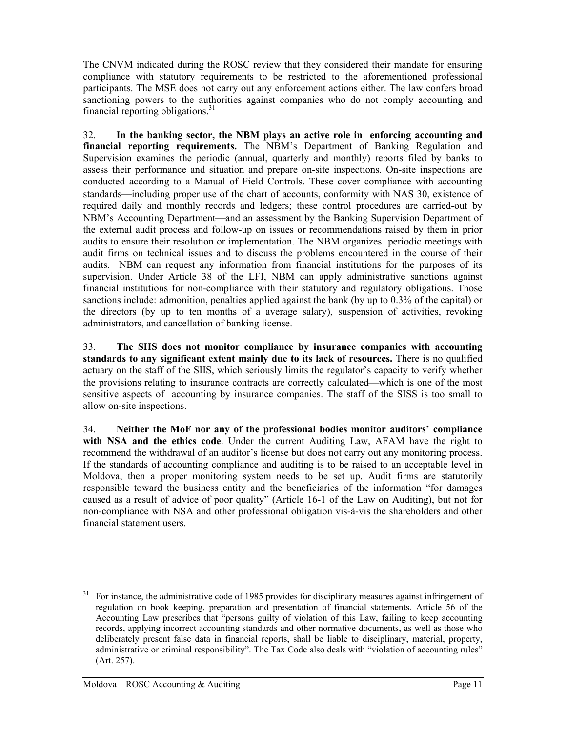The CNVM indicated during the ROSC review that they considered their mandate for ensuring compliance with statutory requirements to be restricted to the aforementioned professional participants. The MSE does not carry out any enforcement actions either. The law confers broad sanctioning powers to the authorities against companies who do not comply accounting and financial reporting obligations. $31$ 

32. **In the banking sector, the NBM plays an active role in enforcing accounting and financial reporting requirements.** The NBM's Department of Banking Regulation and Supervision examines the periodic (annual, quarterly and monthly) reports filed by banks to assess their performance and situation and prepare on-site inspections. On-site inspections are conducted according to a Manual of Field Controls. These cover compliance with accounting standards—including proper use of the chart of accounts, conformity with NAS 30, existence of required daily and monthly records and ledgers; these control procedures are carried-out by NBM's Accounting Department—and an assessment by the Banking Supervision Department of the external audit process and follow-up on issues or recommendations raised by them in prior audits to ensure their resolution or implementation. The NBM organizes periodic meetings with audit firms on technical issues and to discuss the problems encountered in the course of their audits. NBM can request any information from financial institutions for the purposes of its supervision. Under Article 38 of the LFI, NBM can apply administrative sanctions against financial institutions for non-compliance with their statutory and regulatory obligations. Those sanctions include: admonition, penalties applied against the bank (by up to 0.3% of the capital) or the directors (by up to ten months of a average salary), suspension of activities, revoking administrators, and cancellation of banking license.

33. **The SIIS does not monitor compliance by insurance companies with accounting standards to any significant extent mainly due to its lack of resources.** There is no qualified actuary on the staff of the SIIS, which seriously limits the regulator's capacity to verify whether the provisions relating to insurance contracts are correctly calculated—which is one of the most sensitive aspects of accounting by insurance companies. The staff of the SISS is too small to allow on-site inspections.

34. **Neither the MoF nor any of the professional bodies monitor auditors' compliance with NSA and the ethics code**. Under the current Auditing Law, AFAM have the right to recommend the withdrawal of an auditor's license but does not carry out any monitoring process. If the standards of accounting compliance and auditing is to be raised to an acceptable level in Moldova, then a proper monitoring system needs to be set up. Audit firms are statutorily responsible toward the business entity and the beneficiaries of the information "for damages caused as a result of advice of poor quality" (Article 16-1 of the Law on Auditing), but not for non-compliance with NSA and other professional obligation vis-à-vis the shareholders and other financial statement users.

<span id="page-13-0"></span><sup>&</sup>lt;sup>31</sup> For instance, the administrative code of 1985 provides for disciplinary measures against infringement of regulation on book keeping, preparation and presentation of financial statements. Article 56 of the Accounting Law prescribes that "persons guilty of violation of this Law, failing to keep accounting records, applying incorrect accounting standards and other normative documents, as well as those who deliberately present false data in financial reports, shall be liable to disciplinary, material, property, administrative or criminal responsibility". The Tax Code also deals with "violation of accounting rules" (Art. 257).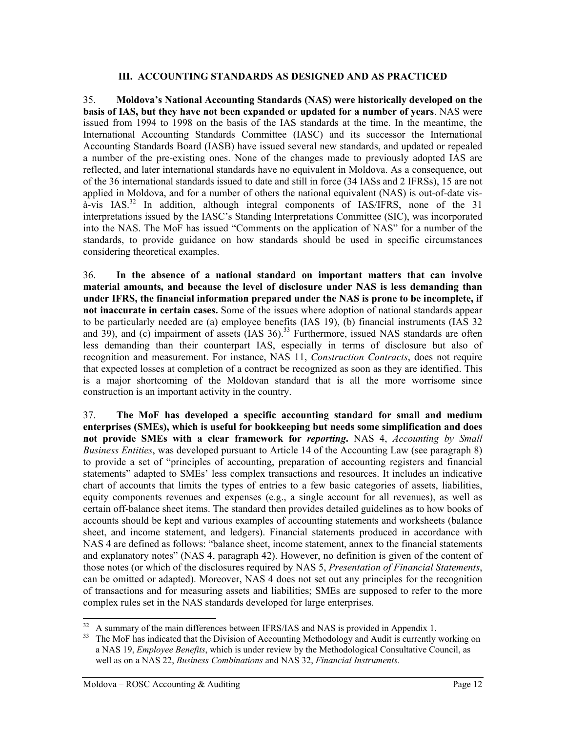#### **III. ACCOUNTING STANDARDS AS DESIGNED AND AS PRACTICED**

35. **Moldova's National Accounting Standards (NAS) were historically developed on the basis of IAS, but they have not been expanded or updated for a number of years**. NAS were issued from 1994 to 1998 on the basis of the IAS standards at the time. In the meantime, the International Accounting Standards Committee (IASC) and its successor the International Accounting Standards Board (IASB) have issued several new standards, and updated or repealed a number of the pre-existing ones. None of the changes made to previously adopted IAS are reflected, and later international standards have no equivalent in Moldova. As a consequence, out of the 36 international standards issued to date and still in force (34 IASs and 2 IFRSs), 15 are not applied in Moldova, and for a number of others the national equivalent (NAS) is out-of-date vis- $\hat{a}$ -vis IAS.<sup>32</sup> In addition, although integral components of IAS/IFRS, none of the 31 interpretations issued by the IASC's Standing Interpretations Committee (SIC), was incorporated into the NAS. The MoF has issued "Comments on the application of NAS" for a number of the standards, to provide guidance on how standards should be used in specific circumstances considering theoretical examples.

36. **In the absence of a national standard on important matters that can involve material amounts, and because the level of disclosure under NAS is less demanding than under IFRS, the financial information prepared under the NAS is prone to be incomplete, if not inaccurate in certain cases.** Some of the issues where adoption of national standards appear to be particularly needed are (a) employee benefits (IAS 19), (b) financial instruments (IAS 32 and  $39$ ), and (c) impairment of assets  $(IAS\ 36)<sup>33</sup>$  Furthermore, issued NAS standards are often less demanding than their counterpart IAS, especially in terms of disclosure but also of recognition and measurement. For instance, NAS 11, *Construction Contracts*, does not require that expected losses at completion of a contract be recognized as soon as they are identified. This is a major shortcoming of the Moldovan standard that is all the more worrisome since construction is an important activity in the country.

37. **The MoF has developed a specific accounting standard for small and medium enterprises (SMEs), which is useful for bookkeeping but needs some simplification and does not provide SMEs with a clear framework for** *reporting***.** NAS 4, *Accounting by Small Business Entities*, was developed pursuant to Article 14 of the Accounting Law (see paragraph 8) to provide a set of "principles of accounting, preparation of accounting registers and financial statements" adapted to SMEs' less complex transactions and resources. It includes an indicative chart of accounts that limits the types of entries to a few basic categories of assets, liabilities, equity components revenues and expenses (e.g., a single account for all revenues), as well as certain off-balance sheet items. The standard then provides detailed guidelines as to how books of accounts should be kept and various examples of accounting statements and worksheets (balance sheet, and income statement, and ledgers). Financial statements produced in accordance with NAS 4 are defined as follows: "balance sheet, income statement, annex to the financial statements and explanatory notes" (NAS 4, paragraph 42). However, no definition is given of the content of those notes (or which of the disclosures required by NAS 5, *Presentation of Financial Statements*, can be omitted or adapted). Moreover, NAS 4 does not set out any principles for the recognition of transactions and for measuring assets and liabilities; SMEs are supposed to refer to the more complex rules set in the NAS standards developed for large enterprises.

<span id="page-14-1"></span><span id="page-14-0"></span>

 $32 \text{ A summary of the main differences between IFRS/IAS and NAS is provided in Appendix 1.}$ <br>33 The MoF has indicated that the Division of Accounting Methodology and Audit is currently working on a NAS 19, *Employee Benefits*, which is under review by the Methodological Consultative Council, as well as on a NAS 22, *Business Combinations* and NAS 32, *Financial Instruments*.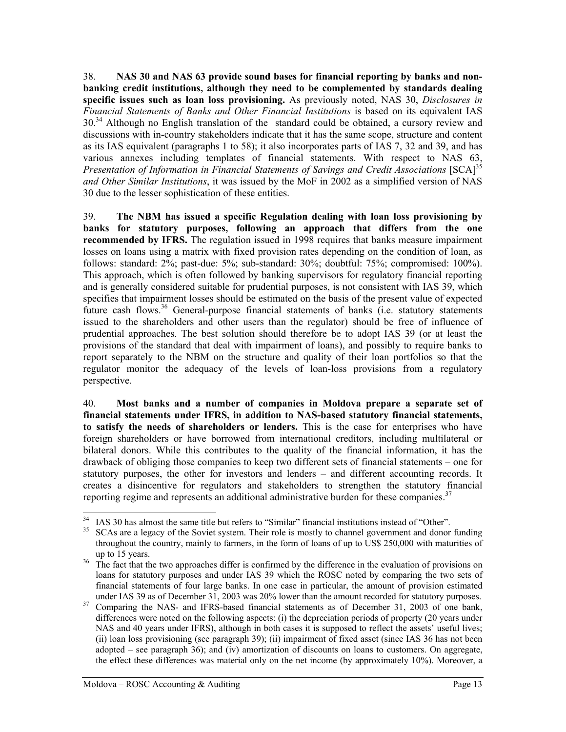<span id="page-15-3"></span>38. **NAS 30 and NAS 63 provide sound bases for financial reporting by banks and nonbanking credit institutions, although they need to be complemented by standards dealing specific issues such as loan loss provisioning.** As previously noted, NAS 30, *Disclosures in Financial Statements of Banks and Other Financial Institutions* is based on its equivalent IAS 30.<sup>34</sup> Although no English translation of the standard could be obtained, a cursory review and discussions with in-country stakeholders indicate that it has the same scope, structure and content as its IAS equivalent (paragraphs 1 to 58); it also incorporates parts of IAS 7, 32 and 39, and has various annexes including templates of financial statements. With respect to NAS 63, Presentation of Information in Financial Statements of Savings and Credit Associations [SCA]<sup>[35](#page-15-1)</sup> *and Other Similar Institutions*, it was issued by the MoF in 2002 as a simplified version of NAS 30 due to the lesser sophistication of these entities.

39. **The NBM has issued a specific Regulation dealing with loan loss provisioning by banks for statutory purposes, following an approach that differs from the one recommended by IFRS.** The regulation issued in 1998 requires that banks measure impairment losses on loans using a matrix with fixed provision rates depending on the condition of loan, as follows: standard: 2%; past-due: 5%; sub-standard: 30%; doubtful: 75%; compromised: 100%). This approach, which is often followed by banking supervisors for regulatory financial reporting and is generally considered suitable for prudential purposes, is not consistent with IAS 39, which specifies that impairment losses should be estimated on the basis of the present value of expected future cash flows.<sup>36</sup> General-purpose financial statements of banks (i.e. statutory statements issued to the shareholders and other users than the regulator) should be free of influence of prudential approaches. The best solution should therefore be to adopt IAS 39 (or at least the provisions of the standard that deal with impairment of loans), and possibly to require banks to report separately to the NBM on the structure and quality of their loan portfolios so that the regulator monitor the adequacy of the levels of loan-loss provisions from a regulatory perspective.

40. **Most banks and a number of companies in Moldova prepare a separate set of financial statements under IFRS, in addition to NAS-based statutory financial statements, to satisfy the needs of shareholders or lenders.** This is the case for enterprises who have foreign shareholders or have borrowed from international creditors, including multilateral or bilateral donors. While this contributes to the quality of the financial information, it has the drawback of obliging those companies to keep two different sets of financial statements – one for statutory purposes, the other for investors and lenders – and different accounting records. It creates a disincentive for regulators and stakeholders to strengthen the statutory financial reporting regime and represents an additional administrative burden for these companies.<sup>[37](#page-15-3)</sup>

<span id="page-15-1"></span><span id="page-15-0"></span>

<sup>&</sup>lt;sup>34</sup> IAS 30 has almost the same title but refers to "Similar" financial institutions instead of "Other".<br><sup>35</sup> SCAs are a legacy of the Soviet system. Their role is mostly to channel government and donor funding throughout the country, mainly to farmers, in the form of loans of up to US\$ 250,000 with maturities of

<span id="page-15-2"></span>up to 15 years.<br><sup>36</sup> The fact that the two approaches differ is confirmed by the difference in the evaluation of provisions on loans for statutory purposes and under IAS 39 which the ROSC noted by comparing the two sets of financial statements of four large banks. In one case in particular, the amount of provision estimated

under IAS 39 as of December 31, 2003 was 20% lower than the amount recorded for statutory purposes. 37 Comparing the NAS- and IFRS-based financial statements as of December 31, 2003 of one bank, differences were noted on the following aspects: (i) the depreciation periods of property (20 years under NAS and 40 years under IFRS), although in both cases it is supposed to reflect the assets' useful lives; (ii) loan loss provisioning (see paragraph 39); (ii) impairment of fixed asset (since IAS 36 has not been adopted – see paragraph 36); and (iv) amortization of discounts on loans to customers. On aggregate, the effect these differences was material only on the net income (by approximately 10%). Moreover, a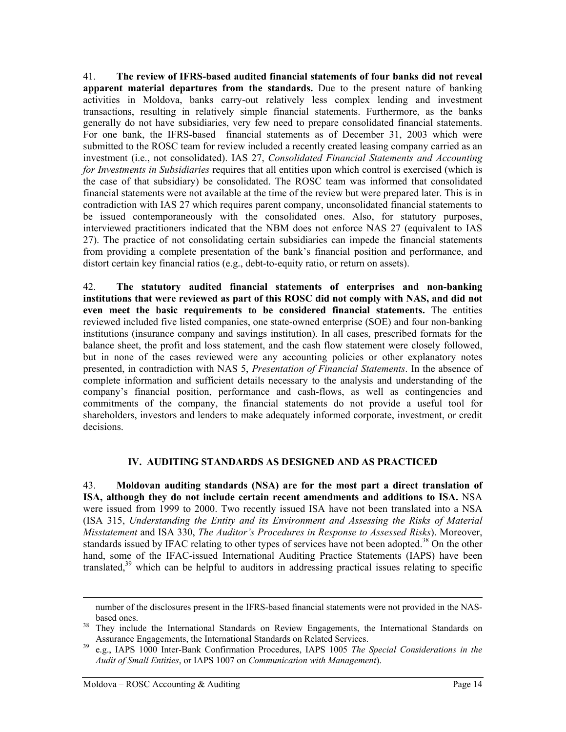41. **The review of IFRS-based audited financial statements of four banks did not reveal apparent material departures from the standards.** Due to the present nature of banking activities in Moldova, banks carry-out relatively less complex lending and investment transactions, resulting in relatively simple financial statements. Furthermore, as the banks generally do not have subsidiaries, very few need to prepare consolidated financial statements. For one bank, the IFRS-based financial statements as of December 31, 2003 which were submitted to the ROSC team for review included a recently created leasing company carried as an investment (i.e., not consolidated). IAS 27, *Consolidated Financial Statements and Accounting for Investments in Subsidiaries* requires that all entities upon which control is exercised (which is the case of that subsidiary) be consolidated. The ROSC team was informed that consolidated financial statements were not available at the time of the review but were prepared later. This is in contradiction with IAS 27 which requires parent company, unconsolidated financial statements to be issued contemporaneously with the consolidated ones. Also, for statutory purposes, interviewed practitioners indicated that the NBM does not enforce NAS 27 (equivalent to IAS 27). The practice of not consolidating certain subsidiaries can impede the financial statements from providing a complete presentation of the bank's financial position and performance, and distort certain key financial ratios (e.g., debt-to-equity ratio, or return on assets).

42. **The statutory audited financial statements of enterprises and non-banking institutions that were reviewed as part of this ROSC did not comply with NAS, and did not even meet the basic requirements to be considered financial statements.** The entities reviewed included five listed companies, one state-owned enterprise (SOE) and four non-banking institutions (insurance company and savings institution). In all cases, prescribed formats for the balance sheet, the profit and loss statement, and the cash flow statement were closely followed, but in none of the cases reviewed were any accounting policies or other explanatory notes presented, in contradiction with NAS 5, *Presentation of Financial Statements*. In the absence of complete information and sufficient details necessary to the analysis and understanding of the company's financial position, performance and cash-flows, as well as contingencies and commitments of the company, the financial statements do not provide a useful tool for shareholders, investors and lenders to make adequately informed corporate, investment, or credit decisions.

### **IV. AUDITING STANDARDS AS DESIGNED AND AS PRACTICED**

43. **Moldovan auditing standards (NSA) are for the most part a direct translation of ISA, although they do not include certain recent amendments and additions to ISA.** NSA were issued from 1999 to 2000. Two recently issued ISA have not been translated into a NSA (ISA 315, *Understanding the Entity and its Environment and Assessing the Risks of Material Misstatement* and ISA 330, *The Auditor's Procedures in Response to Assessed Risks*). Moreover, standards issued by IFAC relating to other types of services have not been adopted.<sup>38</sup> On the other hand, some of the IFAC-issued International Auditing Practice Statements (IAPS) have been translated,<sup>39</sup> which can be helpful to auditors in addressing practical issues relating to specific

l

number of the disclosures present in the IFRS-based financial statements were not provided in the NAS-

<span id="page-16-0"></span>based ones.<br><sup>38</sup> They include the International Standards on Review Engagements, the International Standards on Assurance Engagements, the International Standards on Related Services.<br>
e.g., IAPS 1000 Inter-Bank Confirmation Procedures, IAPS 1005 *The Special Considerations in the* 

<span id="page-16-1"></span>*Audit of Small Entities*, or IAPS 1007 on *Communication with Management*).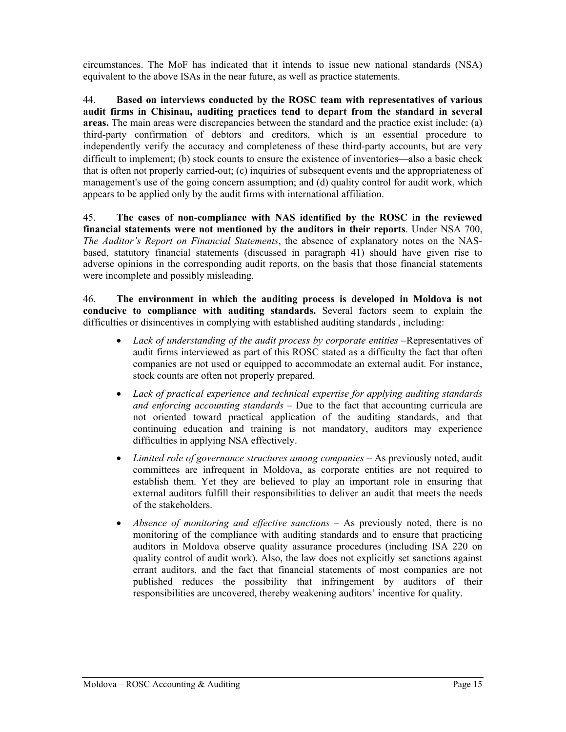circumstances. The MoF has indicated that it intends to issue new national standards (NSA) equivalent to the above ISAs in the near future, as well as practice statements.

44. **Based on interviews conducted by the ROSC team with representatives of various audit firms in Chisinau, auditing practices tend to depart from the standard in several areas.** The main areas were discrepancies between the standard and the practice exist include: (a) third-party confirmation of debtors and creditors, which is an essential procedure to independently verify the accuracy and completeness of these third-party accounts, but are very difficult to implement; (b) stock counts to ensure the existence of inventories—also a basic check that is often not properly carried-out; (c) inquiries of subsequent events and the appropriateness of management's use of the going concern assumption; and (d) quality control for audit work, which appears to be applied only by the audit firms with international affiliation.

45. **The cases of non-compliance with NAS identified by the ROSC in the reviewed financial statements were not mentioned by the auditors in their reports**. Under NSA 700, *The Auditor's Report on Financial Statements*, the absence of explanatory notes on the NASbased, statutory financial statements (discussed in paragraph 41) should have given rise to adverse opinions in the corresponding audit reports, on the basis that those financial statements were incomplete and possibly misleading.

46. **The environment in which the auditing process is developed in Moldova is not conducive to compliance with auditing standards.** Several factors seem to explain the difficulties or disincentives in complying with established auditing standards , including:

- *Lack of understanding of the audit process by corporate entities –*Representatives of audit firms interviewed as part of this ROSC stated as a difficulty the fact that often companies are not used or equipped to accommodate an external audit. For instance, stock counts are often not properly prepared.
- *Lack of practical experience and technical expertise for applying auditing standards and enforcing accounting standards* – Due to the fact that accounting curricula are not oriented toward practical application of the auditing standards, and that continuing education and training is not mandatory, auditors may experience difficulties in applying NSA effectively.
- *Limited role of governance structures among companies* As previously noted, audit committees are infrequent in Moldova, as corporate entities are not required to establish them. Yet they are believed to play an important role in ensuring that external auditors fulfill their responsibilities to deliver an audit that meets the needs of the stakeholders.
- *Absence of monitoring and effective sanctions* As previously noted, there is no monitoring of the compliance with auditing standards and to ensure that practicing auditors in Moldova observe quality assurance procedures (including ISA 220 on quality control of audit work). Also, the law does not explicitly set sanctions against errant auditors, and the fact that financial statements of most companies are not published reduces the possibility that infringement by auditors of their responsibilities are uncovered, thereby weakening auditors' incentive for quality.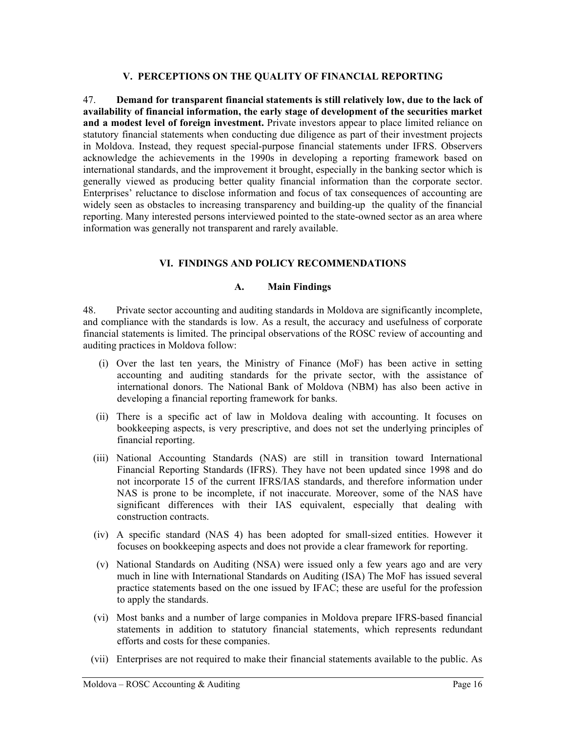#### **V. PERCEPTIONS ON THE QUALITY OF FINANCIAL REPORTING**

47. **Demand for transparent financial statements is still relatively low, due to the lack of availability of financial information, the early stage of development of the securities market and a modest level of foreign investment.** Private investors appear to place limited reliance on statutory financial statements when conducting due diligence as part of their investment projects in Moldova. Instead, they request special-purpose financial statements under IFRS. Observers acknowledge the achievements in the 1990s in developing a reporting framework based on international standards, and the improvement it brought, especially in the banking sector which is generally viewed as producing better quality financial information than the corporate sector. Enterprises' reluctance to disclose information and focus of tax consequences of accounting are widely seen as obstacles to increasing transparency and building-up the quality of the financial reporting. Many interested persons interviewed pointed to the state-owned sector as an area where information was generally not transparent and rarely available.

#### **VI. FINDINGS AND POLICY RECOMMENDATIONS**

#### **A. Main Findings**

48. Private sector accounting and auditing standards in Moldova are significantly incomplete, and compliance with the standards is low. As a result, the accuracy and usefulness of corporate financial statements is limited. The principal observations of the ROSC review of accounting and auditing practices in Moldova follow:

- (i) Over the last ten years, the Ministry of Finance (MoF) has been active in setting accounting and auditing standards for the private sector, with the assistance of international donors. The National Bank of Moldova (NBM) has also been active in developing a financial reporting framework for banks.
- (ii) There is a specific act of law in Moldova dealing with accounting. It focuses on bookkeeping aspects, is very prescriptive, and does not set the underlying principles of financial reporting.
- (iii) National Accounting Standards (NAS) are still in transition toward International Financial Reporting Standards (IFRS). They have not been updated since 1998 and do not incorporate 15 of the current IFRS/IAS standards, and therefore information under NAS is prone to be incomplete, if not inaccurate. Moreover, some of the NAS have significant differences with their IAS equivalent, especially that dealing with construction contracts.
- (iv) A specific standard (NAS 4) has been adopted for small-sized entities. However it focuses on bookkeeping aspects and does not provide a clear framework for reporting.
- (v) National Standards on Auditing (NSA) were issued only a few years ago and are very much in line with International Standards on Auditing (ISA) The MoF has issued several practice statements based on the one issued by IFAC; these are useful for the profession to apply the standards.
- (vi) Most banks and a number of large companies in Moldova prepare IFRS-based financial statements in addition to statutory financial statements, which represents redundant efforts and costs for these companies.
- (vii) Enterprises are not required to make their financial statements available to the public. As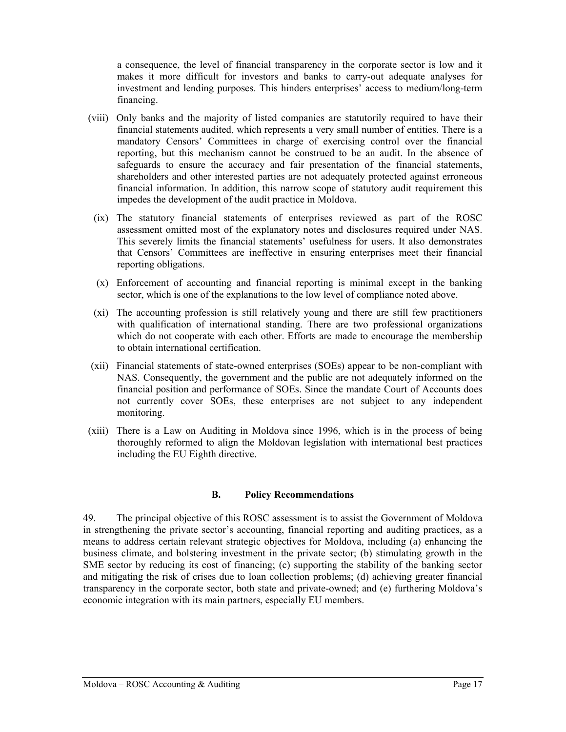a consequence, the level of financial transparency in the corporate sector is low and it makes it more difficult for investors and banks to carry-out adequate analyses for investment and lending purposes. This hinders enterprises' access to medium/long-term financing.

- (viii) Only banks and the majority of listed companies are statutorily required to have their financial statements audited, which represents a very small number of entities. There is a mandatory Censors' Committees in charge of exercising control over the financial reporting, but this mechanism cannot be construed to be an audit. In the absence of safeguards to ensure the accuracy and fair presentation of the financial statements, shareholders and other interested parties are not adequately protected against erroneous financial information. In addition, this narrow scope of statutory audit requirement this impedes the development of the audit practice in Moldova.
- (ix) The statutory financial statements of enterprises reviewed as part of the ROSC assessment omitted most of the explanatory notes and disclosures required under NAS. This severely limits the financial statements' usefulness for users. It also demonstrates that Censors' Committees are ineffective in ensuring enterprises meet their financial reporting obligations.
- (x) Enforcement of accounting and financial reporting is minimal except in the banking sector, which is one of the explanations to the low level of compliance noted above.
- (xi) The accounting profession is still relatively young and there are still few practitioners with qualification of international standing. There are two professional organizations which do not cooperate with each other. Efforts are made to encourage the membership to obtain international certification.
- (xii) Financial statements of state-owned enterprises (SOEs) appear to be non-compliant with NAS. Consequently, the government and the public are not adequately informed on the financial position and performance of SOEs. Since the mandate Court of Accounts does not currently cover SOEs, these enterprises are not subject to any independent monitoring.
- (xiii) There is a Law on Auditing in Moldova since 1996, which is in the process of being thoroughly reformed to align the Moldovan legislation with international best practices including the EU Eighth directive.

#### **B. Policy Recommendations**

49. The principal objective of this ROSC assessment is to assist the Government of Moldova in strengthening the private sector's accounting, financial reporting and auditing practices, as a means to address certain relevant strategic objectives for Moldova, including (a) enhancing the business climate, and bolstering investment in the private sector; (b) stimulating growth in the SME sector by reducing its cost of financing; (c) supporting the stability of the banking sector and mitigating the risk of crises due to loan collection problems; (d) achieving greater financial transparency in the corporate sector, both state and private-owned; and (e) furthering Moldova's economic integration with its main partners, especially EU members.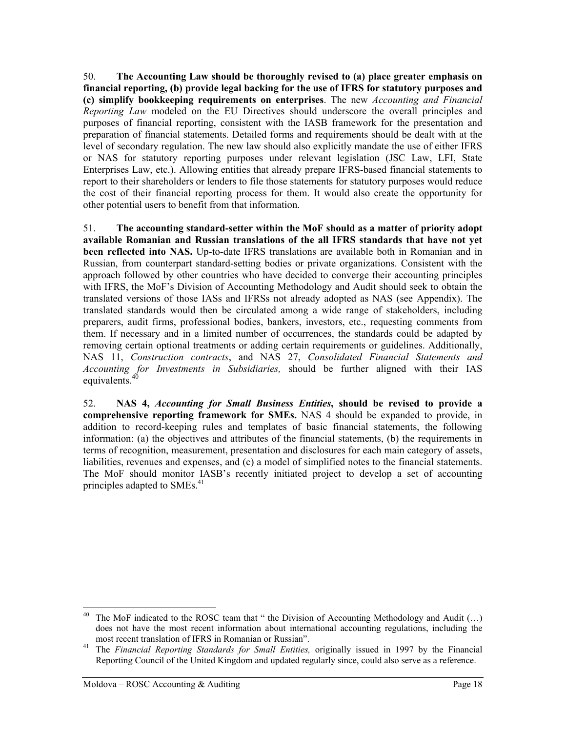50. **The Accounting Law should be thoroughly revised to (a) place greater emphasis on financial reporting, (b) provide legal backing for the use of IFRS for statutory purposes and (c) simplify bookkeeping requirements on enterprises**. The new *Accounting and Financial Reporting Law* modeled on the EU Directives should underscore the overall principles and purposes of financial reporting, consistent with the IASB framework for the presentation and preparation of financial statements. Detailed forms and requirements should be dealt with at the level of secondary regulation. The new law should also explicitly mandate the use of either IFRS or NAS for statutory reporting purposes under relevant legislation (JSC Law, LFI, State Enterprises Law, etc.). Allowing entities that already prepare IFRS-based financial statements to report to their shareholders or lenders to file those statements for statutory purposes would reduce the cost of their financial reporting process for them. It would also create the opportunity for other potential users to benefit from that information.

51. **The accounting standard-setter within the MoF should as a matter of priority adopt available Romanian and Russian translations of the all IFRS standards that have not yet been reflected into NAS.** Up-to-date IFRS translations are available both in Romanian and in Russian, from counterpart standard-setting bodies or private organizations. Consistent with the approach followed by other countries who have decided to converge their accounting principles with IFRS, the MoF's Division of Accounting Methodology and Audit should seek to obtain the translated versions of those IASs and IFRSs not already adopted as NAS (see Appendix). The translated standards would then be circulated among a wide range of stakeholders, including preparers, audit firms, professional bodies, bankers, investors, etc., requesting comments from them. If necessary and in a limited number of occurrences, the standards could be adapted by removing certain optional treatments or adding certain requirements or guidelines. Additionally, NAS 11, *Construction contracts*, and NAS 27, *Consolidated Financial Statements and Accounting for Investments in Subsidiaries,* should be further aligned with their IAS equivalents. $40$ 

52. **NAS 4,** *Accounting for Small Business Entities***, should be revised to provide a comprehensive reporting framework for SMEs.** NAS 4 should be expanded to provide, in addition to record-keeping rules and templates of basic financial statements, the following information: (a) the objectives and attributes of the financial statements, (b) the requirements in terms of recognition, measurement, presentation and disclosures for each main category of assets, liabilities, revenues and expenses, and (c) a model of simplified notes to the financial statements. The MoF should monitor IASB's recently initiated project to develop a set of accounting principles adapted to SMEs.<sup>[41](#page-20-1)</sup>

<span id="page-20-0"></span>The MoF indicated to the ROSC team that " the Division of Accounting Methodology and Audit  $(...)$ does not have the most recent information about international accounting regulations, including the most recent translation of IFRS in Romanian or Russian". 41 The *Financial Reporting Standards for Small Entities,* originally issued in 1997 by the Financial

<span id="page-20-1"></span>Reporting Council of the United Kingdom and updated regularly since, could also serve as a reference.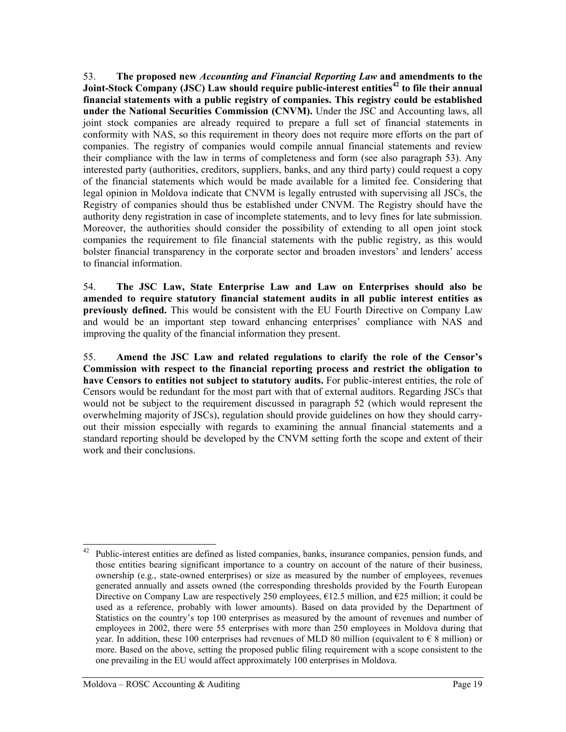53. **The proposed new** *Accounting and Financial Reporting Law* **and amendments to the Joint-Stock Company (JSC) Law should require public-interest entities[42 t](#page-21-0)o file their annual financial statements with a public registry of companies. This registry could be established under the National Securities Commission (CNVM).** Under the JSC and Accounting laws, all joint stock companies are already required to prepare a full set of financial statements in conformity with NAS, so this requirement in theory does not require more efforts on the part of companies. The registry of companies would compile annual financial statements and review their compliance with the law in terms of completeness and form (see also paragraph 53). Any interested party (authorities, creditors, suppliers, banks, and any third party) could request a copy of the financial statements which would be made available for a limited fee. Considering that legal opinion in Moldova indicate that CNVM is legally entrusted with supervising all JSCs, the Registry of companies should thus be established under CNVM. The Registry should have the authority deny registration in case of incomplete statements, and to levy fines for late submission. Moreover, the authorities should consider the possibility of extending to all open joint stock companies the requirement to file financial statements with the public registry, as this would bolster financial transparency in the corporate sector and broaden investors' and lenders' access to financial information.

54. **The JSC Law, State Enterprise Law and Law on Enterprises should also be amended to require statutory financial statement audits in all public interest entities as previously defined.** This would be consistent with the EU Fourth Directive on Company Law and would be an important step toward enhancing enterprises' compliance with NAS and improving the quality of the financial information they present.

55. **Amend the JSC Law and related regulations to clarify the role of the Censor's Commission with respect to the financial reporting process and restrict the obligation to have Censors to entities not subject to statutory audits.** For public-interest entities, the role of Censors would be redundant for the most part with that of external auditors. Regarding JSCs that would not be subject to the requirement discussed in paragraph 52 (which would represent the overwhelming majority of JSCs), regulation should provide guidelines on how they should carryout their mission especially with regards to examining the annual financial statements and a standard reporting should be developed by the CNVM setting forth the scope and extent of their work and their conclusions.

<span id="page-21-0"></span><sup>&</sup>lt;sup>42</sup> Public-interest entities are defined as listed companies, banks, insurance companies, pension funds, and those entities bearing significant importance to a country on account of the nature of their business, ownership (e.g., state-owned enterprises) or size as measured by the number of employees, revenues generated annually and assets owned (the corresponding thresholds provided by the Fourth European Directive on Company Law are respectively 250 employees,  $\epsilon$ 12.5 million, and  $\epsilon$ 25 million; it could be used as a reference, probably with lower amounts). Based on data provided by the Department of Statistics on the country's top 100 enterprises as measured by the amount of revenues and number of employees in 2002, there were 55 enterprises with more than 250 employees in Moldova during that year. In addition, these 100 enterprises had revenues of MLD 80 million (equivalent to  $\epsilon$  8 million) or more. Based on the above, setting the proposed public filing requirement with a scope consistent to the one prevailing in the EU would affect approximately 100 enterprises in Moldova.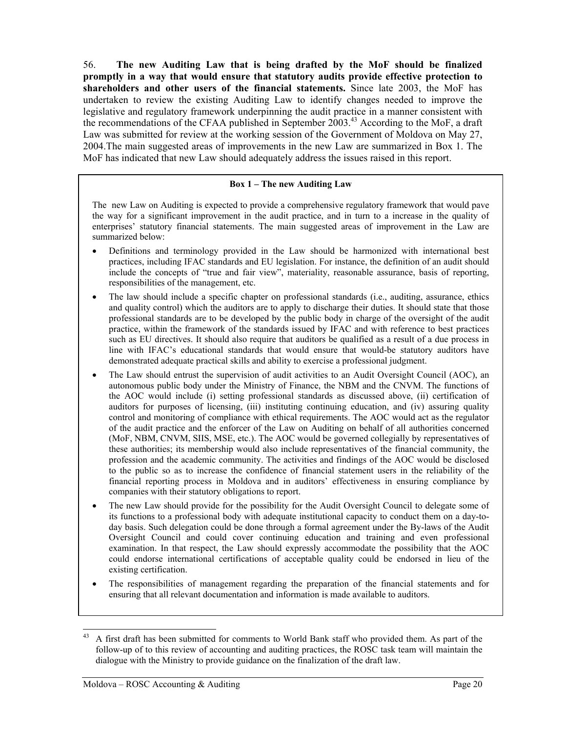56. **The new Auditing Law that is being drafted by the MoF should be finalized promptly in a way that would ensure that statutory audits provide effective protection to shareholders and other users of the financial statements.** Since late 2003, the MoF has undertaken to review the existing Auditing Law to identify changes needed to improve the legislative and regulatory framework underpinning the audit practice in a manner consistent with the recommendations of the CFAA published in September 2003.<sup>43</sup> According to the MoF, a draft Law was submitted for review at the working session of the Government of Moldova on May 27, 2004.The main suggested areas of improvements in the new Law are summarized in Box 1. The MoF has indicated that new Law should adequately address the issues raised in this report.

#### **Box 1 – The new Auditing Law**

The new Law on Auditing is expected to provide a comprehensive regulatory framework that would pave the way for a significant improvement in the audit practice, and in turn to a increase in the quality of enterprises' statutory financial statements. The main suggested areas of improvement in the Law are summarized below:

- Definitions and terminology provided in the Law should be harmonized with international best practices, including IFAC standards and EU legislation. For instance, the definition of an audit should include the concepts of "true and fair view", materiality, reasonable assurance, basis of reporting, responsibilities of the management, etc.
- The law should include a specific chapter on professional standards (i.e., auditing, assurance, ethics and quality control) which the auditors are to apply to discharge their duties. It should state that those professional standards are to be developed by the public body in charge of the oversight of the audit practice, within the framework of the standards issued by IFAC and with reference to best practices such as EU directives. It should also require that auditors be qualified as a result of a due process in line with IFAC's educational standards that would ensure that would-be statutory auditors have demonstrated adequate practical skills and ability to exercise a professional judgment.
- The Law should entrust the supervision of audit activities to an Audit Oversight Council (AOC), an autonomous public body under the Ministry of Finance, the NBM and the CNVM. The functions of the AOC would include (i) setting professional standards as discussed above, (ii) certification of auditors for purposes of licensing, (iii) instituting continuing education, and (iv) assuring quality control and monitoring of compliance with ethical requirements. The AOC would act as the regulator of the audit practice and the enforcer of the Law on Auditing on behalf of all authorities concerned (MoF, NBM, CNVM, SIIS, MSE, etc.). The AOC would be governed collegially by representatives of these authorities; its membership would also include representatives of the financial community, the profession and the academic community. The activities and findings of the AOC would be disclosed to the public so as to increase the confidence of financial statement users in the reliability of the financial reporting process in Moldova and in auditors' effectiveness in ensuring compliance by companies with their statutory obligations to report.
- The new Law should provide for the possibility for the Audit Oversight Council to delegate some of its functions to a professional body with adequate institutional capacity to conduct them on a day-today basis. Such delegation could be done through a formal agreement under the By-laws of the Audit Oversight Council and could cover continuing education and training and even professional examination. In that respect, the Law should expressly accommodate the possibility that the AOC could endorse international certifications of acceptable quality could be endorsed in lieu of the existing certification.
- The responsibilities of management regarding the preparation of the financial statements and for ensuring that all relevant documentation and information is made available to auditors.

<span id="page-22-0"></span><sup>&</sup>lt;sup>43</sup> A first draft has been submitted for comments to World Bank staff who provided them. As part of the follow-up of to this review of accounting and auditing practices, the ROSC task team will maintain the dialogue with the Ministry to provide guidance on the finalization of the draft law.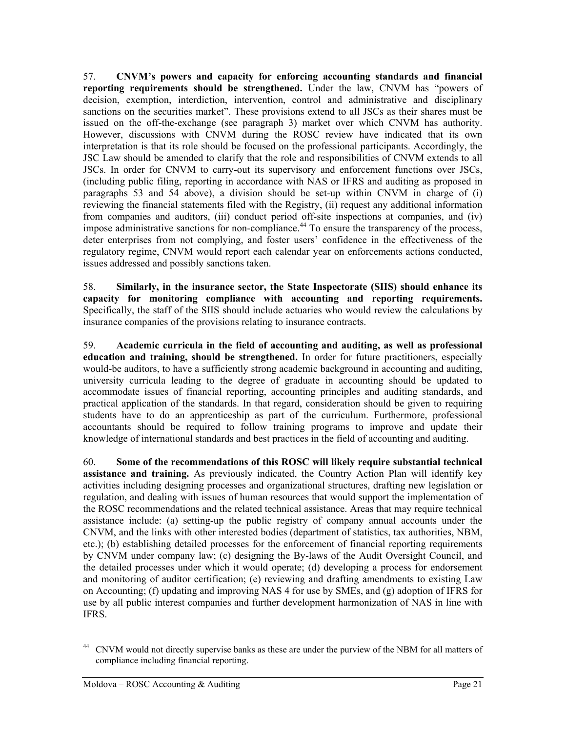57. **CNVM's powers and capacity for enforcing accounting standards and financial reporting requirements should be strengthened.** Under the law, CNVM has "powers of decision, exemption, interdiction, intervention, control and administrative and disciplinary sanctions on the securities market". These provisions extend to all JSCs as their shares must be issued on the off-the-exchange (see paragraph 3) market over which CNVM has authority. However, discussions with CNVM during the ROSC review have indicated that its own interpretation is that its role should be focused on the professional participants. Accordingly, the JSC Law should be amended to clarify that the role and responsibilities of CNVM extends to all JSCs. In order for CNVM to carry-out its supervisory and enforcement functions over JSCs, (including public filing, reporting in accordance with NAS or IFRS and auditing as proposed in paragraphs 53 and 54 above), a division should be set-up within CNVM in charge of (i) reviewing the financial statements filed with the Registry, (ii) request any additional information from companies and auditors, (iii) conduct period off-site inspections at companies, and (iv) impose administrative sanctions for non-compliance. [44](#page-23-0) To ensure the transparency of the process, deter enterprises from not complying, and foster users' confidence in the effectiveness of the regulatory regime, CNVM would report each calendar year on enforcements actions conducted, issues addressed and possibly sanctions taken.

58. **Similarly, in the insurance sector, the State Inspectorate (SIIS) should enhance its capacity for monitoring compliance with accounting and reporting requirements.** Specifically, the staff of the SIIS should include actuaries who would review the calculations by insurance companies of the provisions relating to insurance contracts.

59. **Academic curricula in the field of accounting and auditing, as well as professional education and training, should be strengthened.** In order for future practitioners, especially would-be auditors, to have a sufficiently strong academic background in accounting and auditing, university curricula leading to the degree of graduate in accounting should be updated to accommodate issues of financial reporting, accounting principles and auditing standards, and practical application of the standards. In that regard, consideration should be given to requiring students have to do an apprenticeship as part of the curriculum. Furthermore, professional accountants should be required to follow training programs to improve and update their knowledge of international standards and best practices in the field of accounting and auditing.

60. **Some of the recommendations of this ROSC will likely require substantial technical assistance and training.** As previously indicated, the Country Action Plan will identify key activities including designing processes and organizational structures, drafting new legislation or regulation, and dealing with issues of human resources that would support the implementation of the ROSC recommendations and the related technical assistance. Areas that may require technical assistance include: (a) setting-up the public registry of company annual accounts under the CNVM, and the links with other interested bodies (department of statistics, tax authorities, NBM, etc.); (b) establishing detailed processes for the enforcement of financial reporting requirements by CNVM under company law; (c) designing the By-laws of the Audit Oversight Council, and the detailed processes under which it would operate; (d) developing a process for endorsement and monitoring of auditor certification; (e) reviewing and drafting amendments to existing Law on Accounting; (f) updating and improving NAS 4 for use by SMEs, and (g) adoption of IFRS for use by all public interest companies and further development harmonization of NAS in line with IFRS.

<span id="page-23-0"></span> <sup>44</sup> CNVM would not directly supervise banks as these are under the purview of the NBM for all matters of compliance including financial reporting.